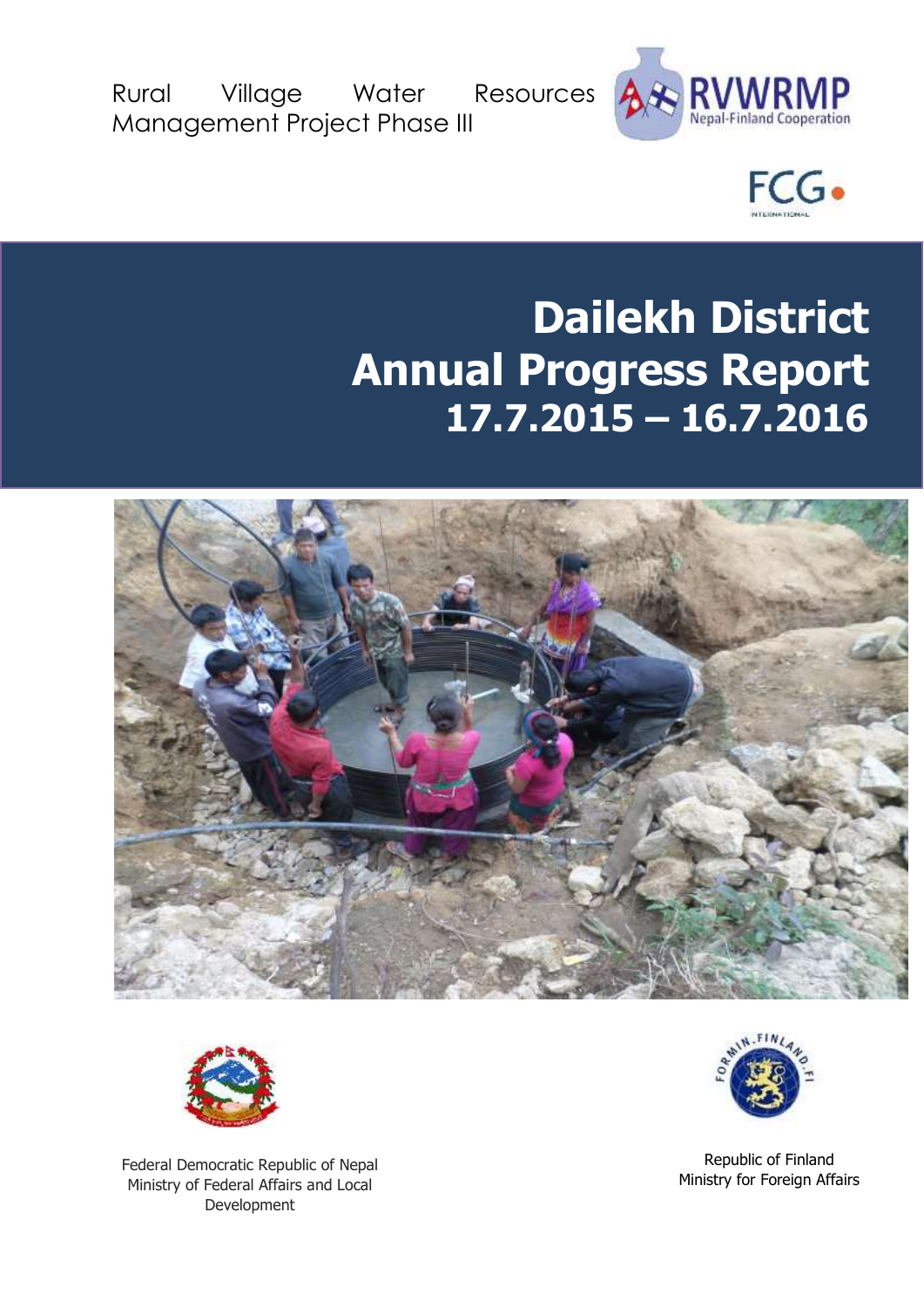Rural Village Water Resources Management Project Phase III





# **Dailekh District Annual Progress Report 17.7.2015 – 16.7.2016**





Federal Democratic Republic of Nepal Ministry of Federal Affairs and Local Development



Republic of Finland Ministry for Foreign Affairs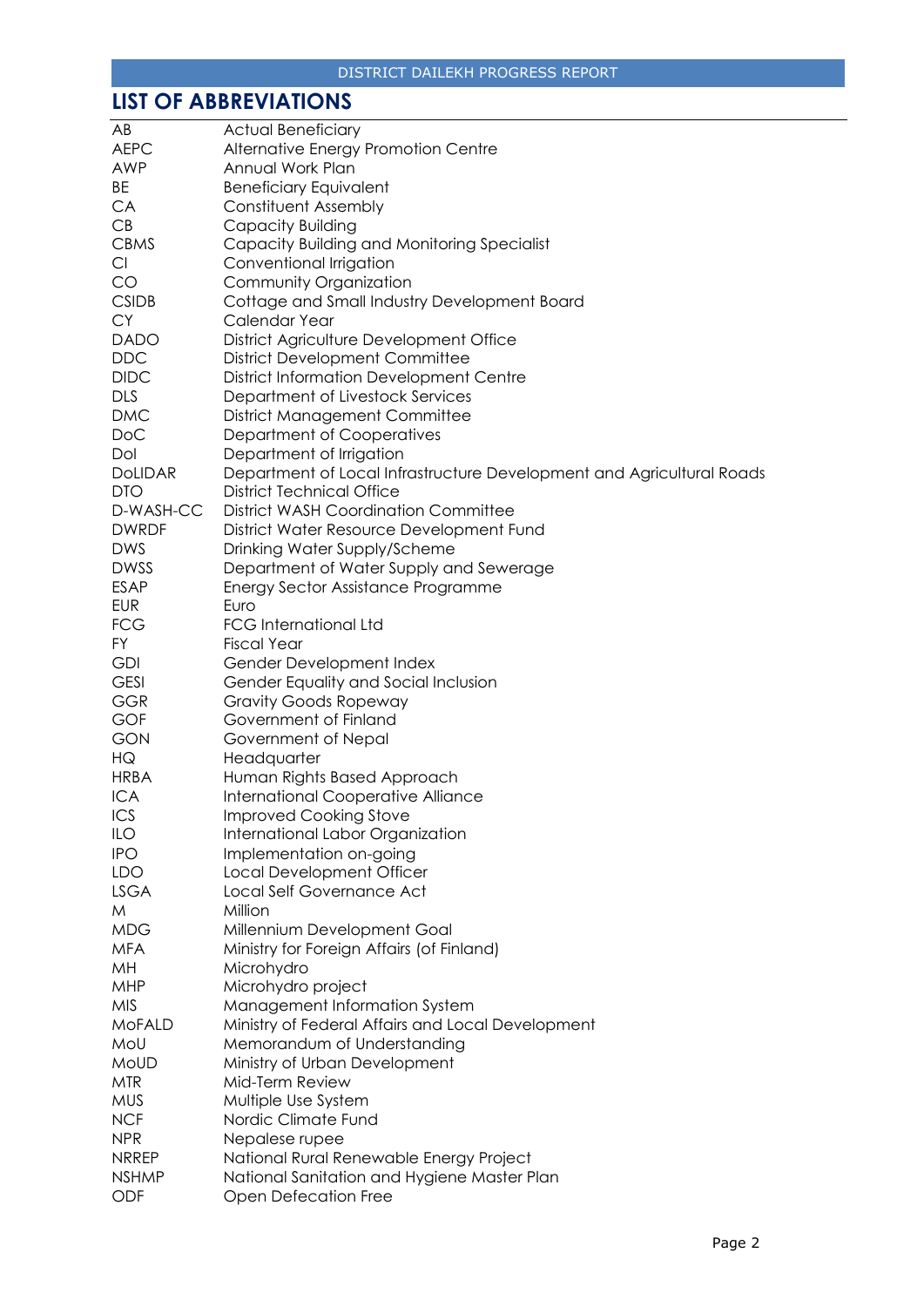# <span id="page-1-0"></span>**LIST OF ABBREVIATIONS**

| AB             | <b>Actual Beneficiary</b>                                             |
|----------------|-----------------------------------------------------------------------|
| <b>AEPC</b>    | Alternative Energy Promotion Centre                                   |
| AWP            | Annual Work Plan                                                      |
| <b>BE</b>      | <b>Beneficiary Equivalent</b>                                         |
| CA             | <b>Constituent Assembly</b>                                           |
| CB             | Capacity Building                                                     |
| <b>CBMS</b>    | Capacity Building and Monitoring Specialist                           |
| Cl             | Conventional Irrigation                                               |
| CO             | Community Organization                                                |
| <b>CSIDB</b>   | Cottage and Small Industry Development Board                          |
| <b>CY</b>      | Calendar Year                                                         |
| <b>DADO</b>    | District Agriculture Development Office                               |
| <b>DDC</b>     | <b>District Development Committee</b>                                 |
| <b>DIDC</b>    | <b>District Information Development Centre</b>                        |
| <b>DLS</b>     |                                                                       |
|                | Department of Livestock Services                                      |
| <b>DMC</b>     | <b>District Management Committee</b>                                  |
| DoC            | Department of Cooperatives                                            |
| Dol            | Department of Irrigation                                              |
| <b>DOLIDAR</b> | Department of Local Infrastructure Development and Agricultural Roads |
| <b>DTO</b>     | District Technical Office                                             |
| D-WASH-CC      | <b>District WASH Coordination Committee</b>                           |
| <b>DWRDF</b>   | District Water Resource Development Fund                              |
| <b>DWS</b>     | Drinking Water Supply/Scheme                                          |
| <b>DWSS</b>    | Department of Water Supply and Sewerage                               |
| <b>ESAP</b>    | Energy Sector Assistance Programme                                    |
| <b>EUR</b>     | Euro                                                                  |
| <b>FCG</b>     | <b>FCG International Ltd</b>                                          |
| FY             | <b>Fiscal Year</b>                                                    |
| <b>GDI</b>     | Gender Development Index                                              |
| <b>GESI</b>    | Gender Equality and Social Inclusion                                  |
| <b>GGR</b>     | <b>Gravity Goods Ropeway</b>                                          |
| <b>GOF</b>     | Government of Finland                                                 |
| <b>GON</b>     | Government of Nepal                                                   |
| HG             | Headquarter                                                           |
| <b>HRBA</b>    | Human Rights Based Approach                                           |
| <b>ICA</b>     | International Cooperative Alliance                                    |
| ICS            | <b>Improved Cooking Stove</b>                                         |
| ILO            | International Labor Organization                                      |
| <b>IPO</b>     | Implementation on-going                                               |
| LDO            | Local Development Officer                                             |
| <b>LSGA</b>    | Local Self Governance Act                                             |
| M              | Million                                                               |
| <b>MDG</b>     | Millennium Development Goal                                           |
| <b>MFA</b>     | Ministry for Foreign Affairs (of Finland)                             |
| MH             | Microhydro                                                            |
| <b>MHP</b>     | Microhydro project                                                    |
| <b>MIS</b>     | Management Information System                                         |
| <b>MoFALD</b>  | Ministry of Federal Affairs and Local Development                     |
| MoU            | Memorandum of Understanding                                           |
| MoUD           |                                                                       |
|                | Ministry of Urban Development                                         |
| <b>MTR</b>     | Mid-Term Review                                                       |
| <b>MUS</b>     | Multiple Use System                                                   |
| <b>NCF</b>     | Nordic Climate Fund                                                   |
| <b>NPR</b>     | Nepalese rupee                                                        |
| <b>NRREP</b>   | National Rural Renewable Energy Project                               |
| <b>NSHMP</b>   | National Sanitation and Hygiene Master Plan                           |
| ODF            | <b>Open Defecation Free</b>                                           |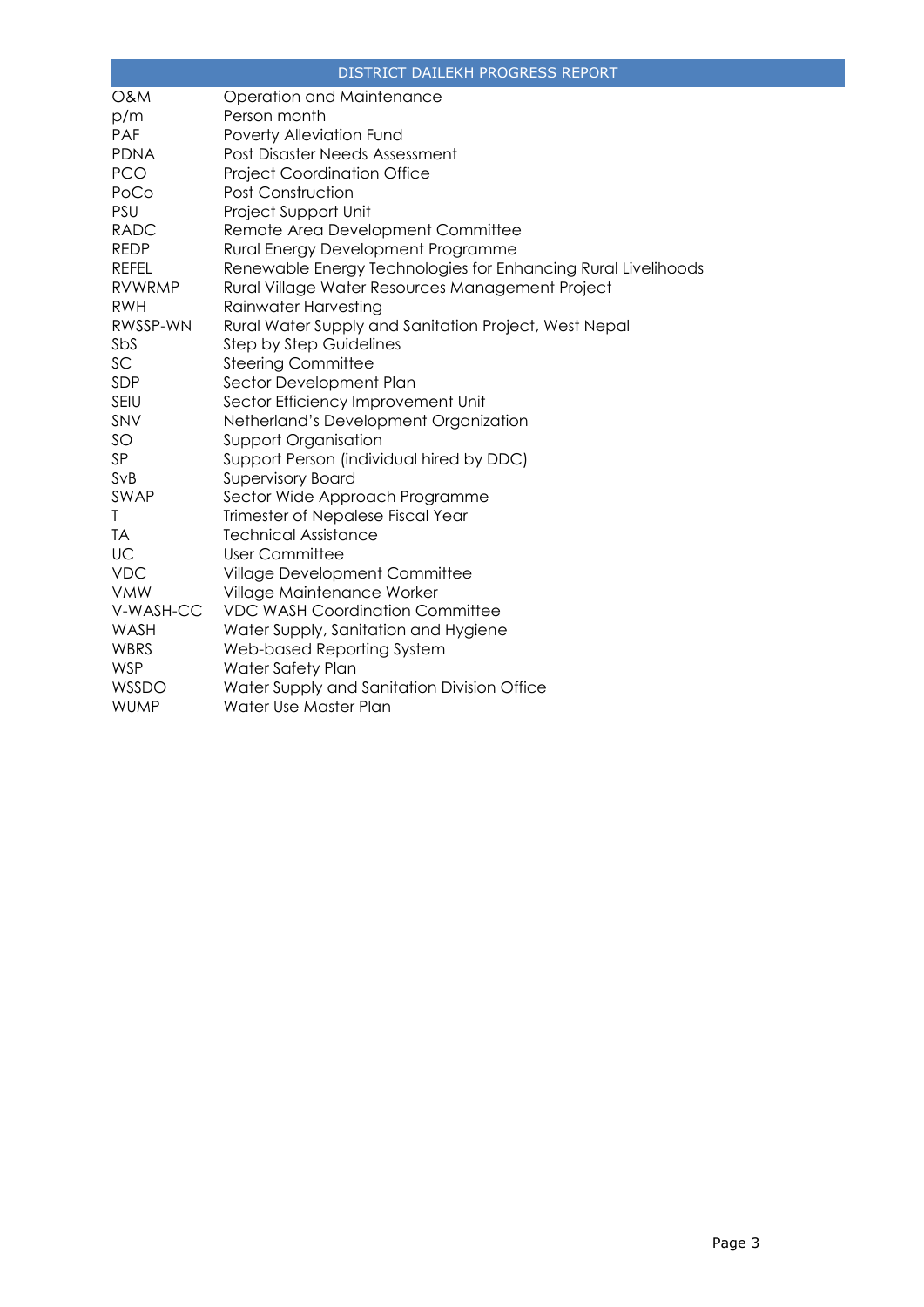|                | DISTRICT DAILEKH PROGRESS REPORT                              |
|----------------|---------------------------------------------------------------|
| <b>O&amp;M</b> | Operation and Maintenance                                     |
| p/m            | Person month                                                  |
| <b>PAF</b>     | Poverty Alleviation Fund                                      |
| <b>PDNA</b>    | Post Disaster Needs Assessment                                |
| <b>PCO</b>     | <b>Project Coordination Office</b>                            |
| PoCo           | <b>Post Construction</b>                                      |
| <b>PSU</b>     | Project Support Unit                                          |
| <b>RADC</b>    | Remote Area Development Committee                             |
| <b>REDP</b>    | Rural Energy Development Programme                            |
| <b>REFEL</b>   | Renewable Energy Technologies for Enhancing Rural Livelihoods |
| <b>RVWRMP</b>  | Rural Village Water Resources Management Project              |
| <b>RWH</b>     | Rainwater Harvesting                                          |
| RWSSP-WN       | Rural Water Supply and Sanitation Project, West Nepal         |
| SbS            | <b>Step by Step Guidelines</b>                                |
| SC.            | <b>Steering Committee</b>                                     |
| SDP            | Sector Development Plan                                       |
| SEIU           | Sector Efficiency Improvement Unit                            |
| SNV            | Netherland's Development Organization                         |
| SO             | <b>Support Organisation</b>                                   |
| SP             | Support Person (individual hired by DDC)                      |
| SvB            | <b>Supervisory Board</b>                                      |
| SWAP           | Sector Wide Approach Programme                                |
| T              | Trimester of Nepalese Fiscal Year                             |
| <b>TA</b>      | <b>Technical Assistance</b>                                   |
| UC             | <b>User Committee</b>                                         |
| <b>VDC</b>     | Village Development Committee                                 |
| <b>VMW</b>     | Village Maintenance Worker                                    |
| V-WASH-CC      | <b>VDC WASH Coordination Committee</b>                        |
| WASH           | Water Supply, Sanitation and Hygiene                          |
| WBRS           | Web-based Reporting System                                    |
| <b>WSP</b>     | Water Safety Plan                                             |
| WSSDO          | Water Supply and Sanitation Division Office                   |
| <b>WUMP</b>    | Water Use Master Plan                                         |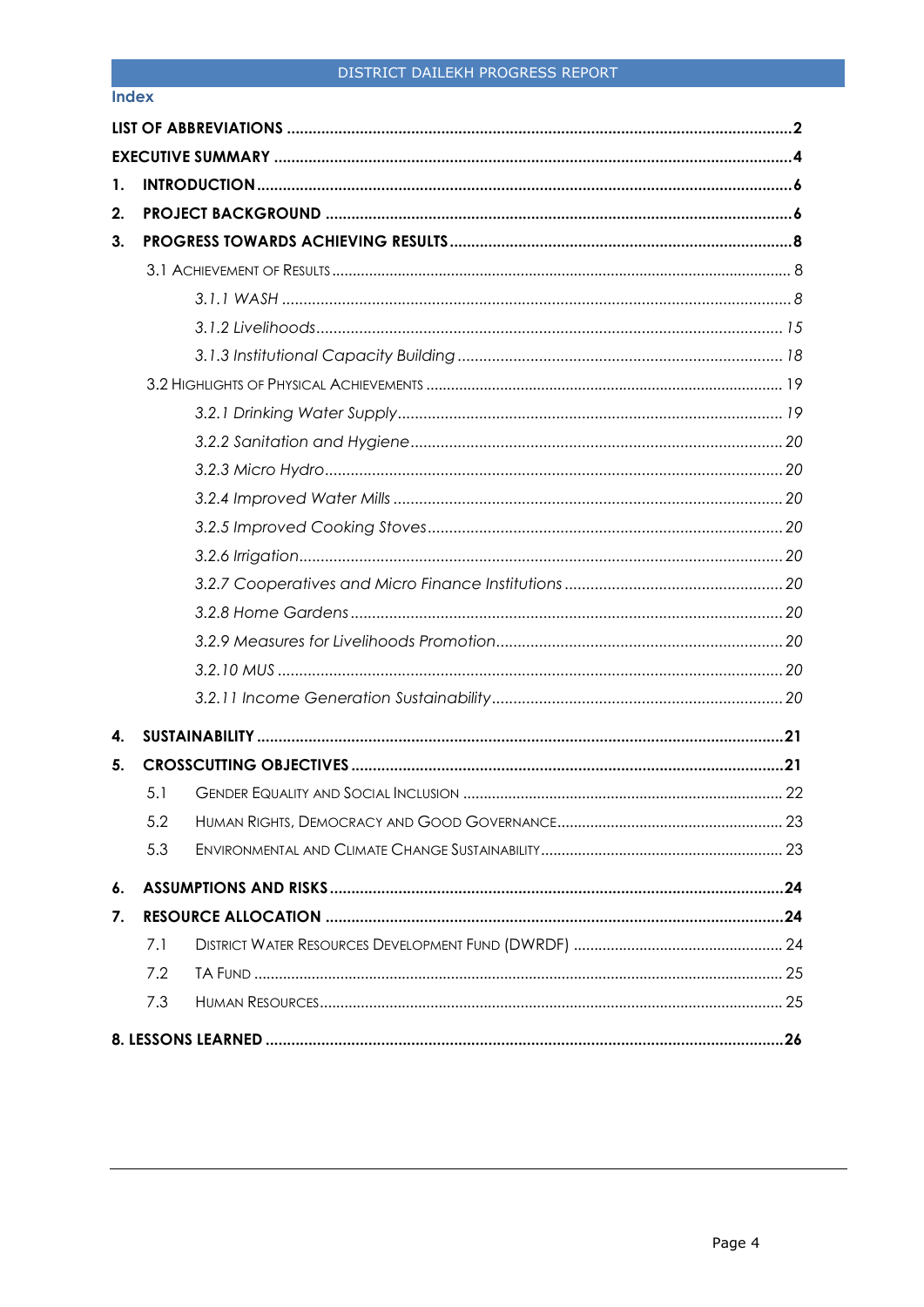#### **Index**

<span id="page-3-0"></span>

| 1. |     |  |
|----|-----|--|
| 2. |     |  |
| 3. |     |  |
|    |     |  |
|    |     |  |
|    |     |  |
|    |     |  |
|    |     |  |
|    |     |  |
|    |     |  |
|    |     |  |
|    |     |  |
|    |     |  |
|    |     |  |
|    |     |  |
|    |     |  |
|    |     |  |
|    |     |  |
|    |     |  |
| 4. |     |  |
| 5. |     |  |
|    | 5.1 |  |
|    | 5.2 |  |
|    | 5.3 |  |
| 6. |     |  |
| 7. |     |  |
|    | 7.1 |  |
|    | 7.2 |  |
|    | 7.3 |  |
|    |     |  |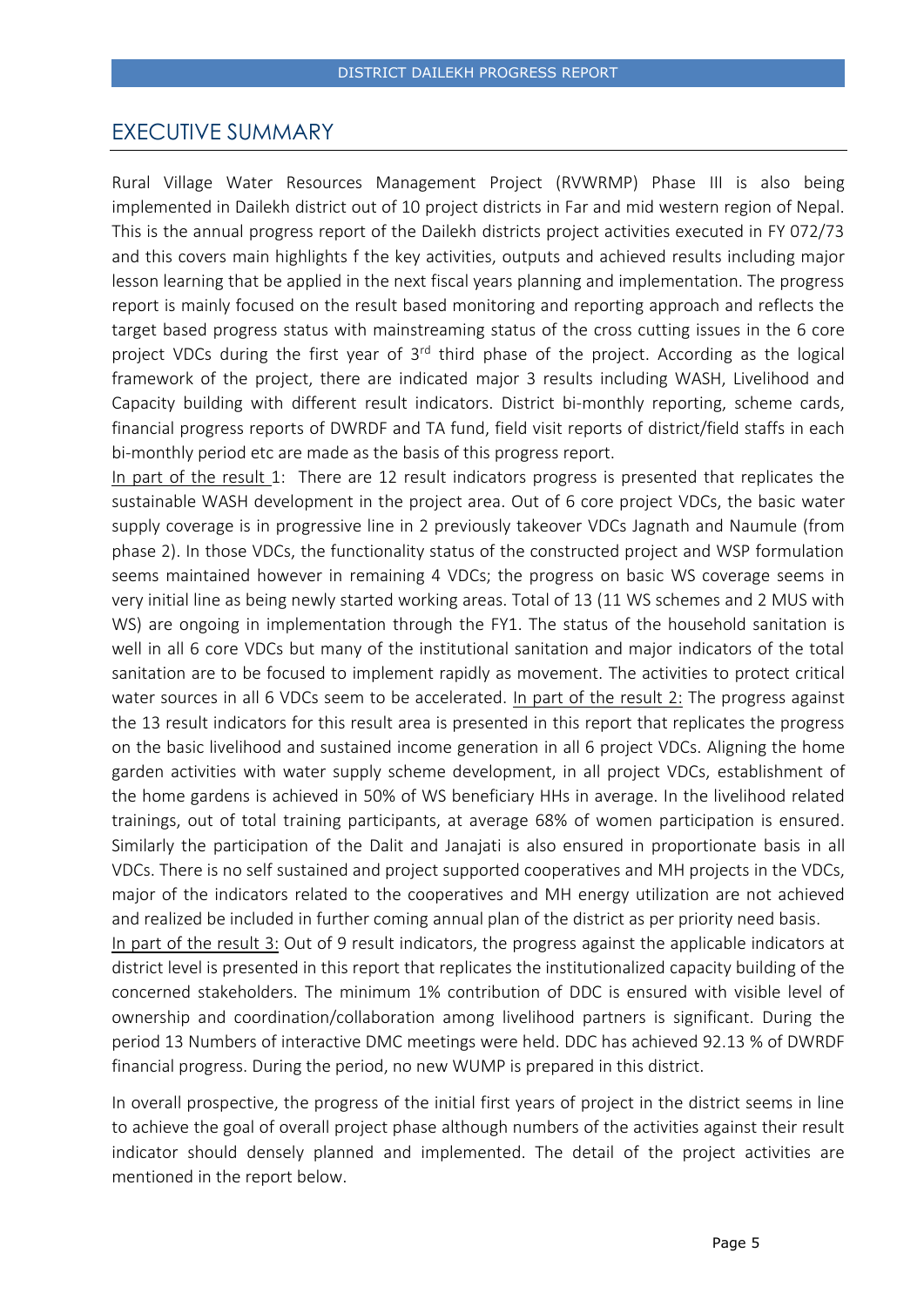## EXECUTIVE SUMMARY

Rural Village Water Resources Management Project (RVWRMP) Phase III is also being implemented in Dailekh district out of 10 project districts in Far and mid western region of Nepal. This is the annual progress report of the Dailekh districts project activities executed in FY 072/73 and this covers main highlights f the key activities, outputs and achieved results including major lesson learning that be applied in the next fiscal years planning and implementation. The progress report is mainly focused on the result based monitoring and reporting approach and reflects the target based progress status with mainstreaming status of the cross cutting issues in the 6 core project VDCs during the first year of 3<sup>rd</sup> third phase of the project. According as the logical framework of the project, there are indicated major 3 results including WASH, Livelihood and Capacity building with different result indicators. District bi-monthly reporting, scheme cards, financial progress reports of DWRDF and TA fund, field visit reports of district/field staffs in each bi-monthly period etc are made as the basis of this progress report.

In part of the result 1: There are 12 result indicators progress is presented that replicates the sustainable WASH development in the project area. Out of 6 core project VDCs, the basic water supply coverage is in progressive line in 2 previously takeover VDCs Jagnath and Naumule (from phase 2). In those VDCs, the functionality status of the constructed project and WSP formulation seems maintained however in remaining 4 VDCs; the progress on basic WS coverage seems in very initial line as being newly started working areas. Total of 13 (11 WS schemes and 2 MUS with WS) are ongoing in implementation through the FY1. The status of the household sanitation is well in all 6 core VDCs but many of the institutional sanitation and major indicators of the total sanitation are to be focused to implement rapidly as movement. The activities to protect critical water sources in all 6 VDCs seem to be accelerated. In part of the result 2: The progress against the 13 result indicators for this result area is presented in this report that replicates the progress on the basic livelihood and sustained income generation in all 6 project VDCs. Aligning the home garden activities with water supply scheme development, in all project VDCs, establishment of the home gardens is achieved in 50% of WS beneficiary HHs in average. In the livelihood related trainings, out of total training participants, at average 68% of women participation is ensured. Similarly the participation of the Dalit and Janajati is also ensured in proportionate basis in all VDCs. There is no self sustained and project supported cooperatives and MH projects in the VDCs, major of the indicators related to the cooperatives and MH energy utilization are not achieved and realized be included in further coming annual plan of the district as per priority need basis.

In part of the result 3: Out of 9 result indicators, the progress against the applicable indicators at district level is presented in this report that replicates the institutionalized capacity building of the concerned stakeholders. The minimum 1% contribution of DDC is ensured with visible level of ownership and coordination/collaboration among livelihood partners is significant. During the period 13 Numbers of interactive DMC meetings were held. DDC has achieved 92.13 % of DWRDF financial progress. During the period, no new WUMP is prepared in this district.

In overall prospective, the progress of the initial first years of project in the district seems in line to achieve the goal of overall project phase although numbers of the activities against their result indicator should densely planned and implemented. The detail of the project activities are mentioned in the report below.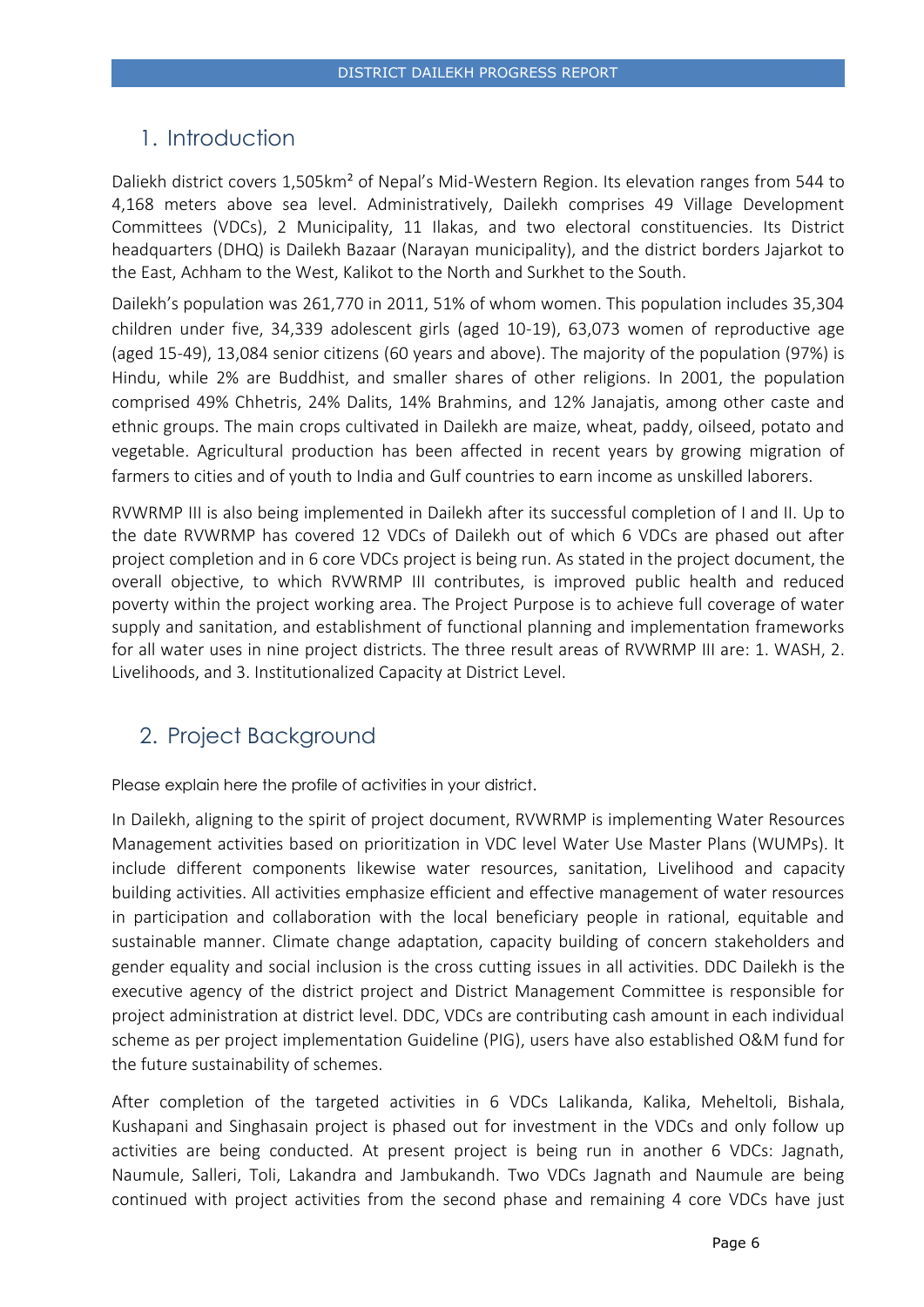# <span id="page-5-0"></span>1. Introduction

Daliekh district covers 1,505km² of Nepal's Mid-Western Region. Its elevation ranges from 544 to 4,168 meters above sea level. Administratively, Dailekh comprises 49 Village Development Committees (VDCs), 2 Municipality, 11 Ilakas, and two electoral constituencies. Its District headquarters (DHQ) is Dailekh Bazaar (Narayan municipality), and the district borders Jajarkot to the East, Achham to the West, Kalikot to the North and Surkhet to the South.

Dailekh's population was 261,770 in 2011, 51% of whom women. This population includes 35,304 children under five, 34,339 adolescent girls (aged 10-19), 63,073 women of reproductive age (aged 15-49), 13,084 senior citizens (60 years and above). The majority of the population (97%) is Hindu, while 2% are Buddhist, and smaller shares of other religions. In 2001, the population comprised 49% Chhetris, 24% Dalits, 14% Brahmins, and 12% Janajatis, among other caste and ethnic groups. The main crops cultivated in Dailekh are maize, wheat, paddy, oilseed, potato and vegetable. Agricultural production has been affected in recent years by growing migration of farmers to cities and of youth to India and Gulf countries to earn income as unskilled laborers.

RVWRMP III is also being implemented in Dailekh after its successful completion of I and II. Up to the date RVWRMP has covered 12 VDCs of Dailekh out of which 6 VDCs are phased out after project completion and in 6 core VDCs project is being run. As stated in the project document, the overall objective, to which RVWRMP III contributes, is improved public health and reduced poverty within the project working area. The Project Purpose is to achieve full coverage of water supply and sanitation, and establishment of functional planning and implementation frameworks for all water uses in nine project districts. The three result areas of RVWRMP III are: 1. WASH, 2. Livelihoods, and 3. Institutionalized Capacity at District Level.

# <span id="page-5-1"></span>2. Project Background

Please explain here the profile of activities in your district.

In Dailekh, aligning to the spirit of project document, RVWRMP is implementing Water Resources Management activities based on prioritization in VDC level Water Use Master Plans (WUMPs). It include different components likewise water resources, sanitation, Livelihood and capacity building activities. All activities emphasize efficient and effective management of water resources in participation and collaboration with the local beneficiary people in rational, equitable and sustainable manner. Climate change adaptation, capacity building of concern stakeholders and gender equality and social inclusion is the cross cutting issues in all activities. DDC Dailekh is the executive agency of the district project and District Management Committee is responsible for project administration at district level. DDC, VDCs are contributing cash amount in each individual scheme as per project implementation Guideline (PIG), users have also established O&M fund for the future sustainability of schemes.

After completion of the targeted activities in 6 VDCs Lalikanda, Kalika, Meheltoli, Bishala, Kushapani and Singhasain project is phased out for investment in the VDCs and only follow up activities are being conducted. At present project is being run in another 6 VDCs: Jagnath, Naumule, Salleri, Toli, Lakandra and Jambukandh. Two VDCs Jagnath and Naumule are being continued with project activities from the second phase and remaining 4 core VDCs have just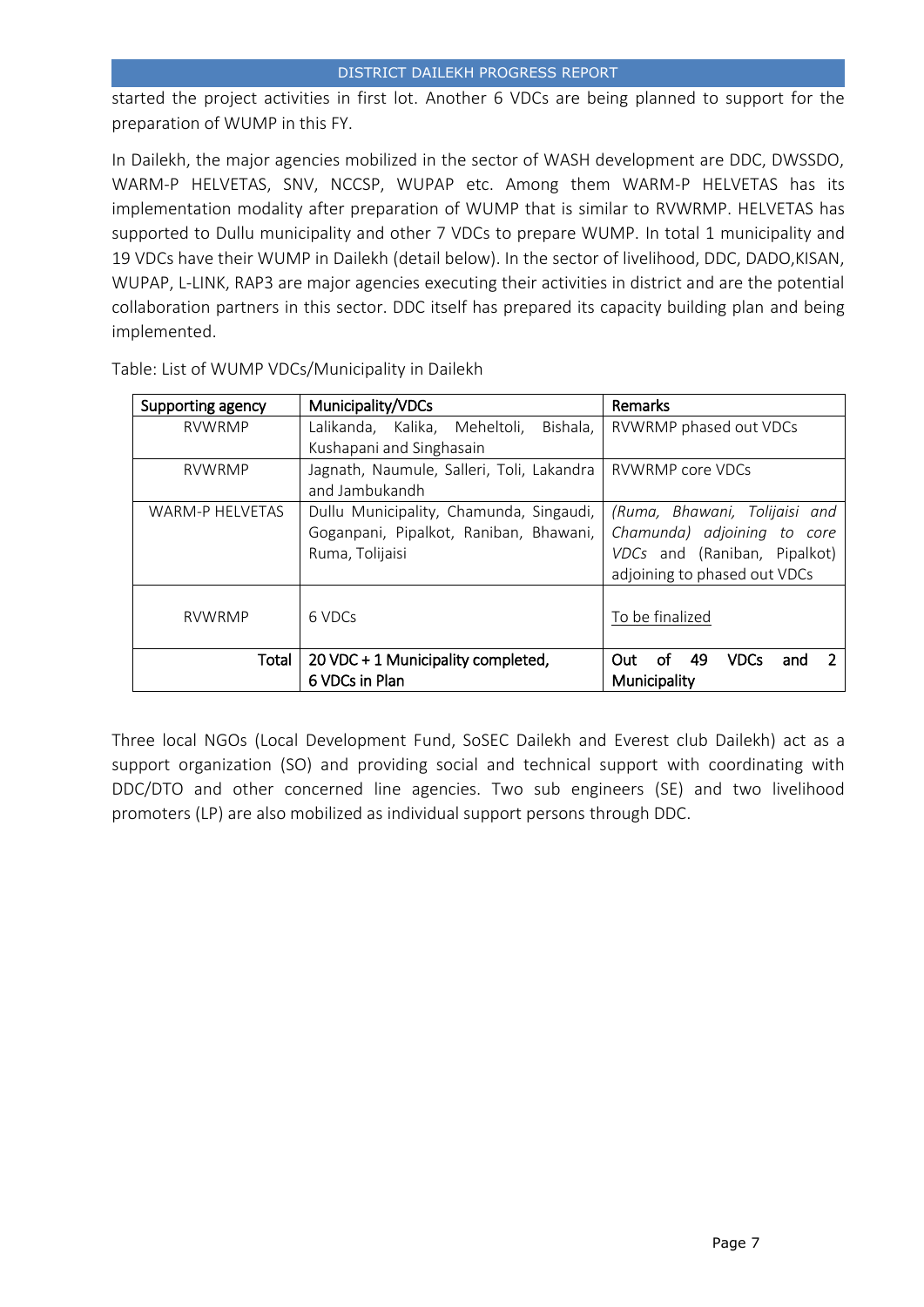started the project activities in first lot. Another 6 VDCs are being planned to support for the preparation of WUMP in this FY.

In Dailekh, the major agencies mobilized in the sector of WASH development are DDC, DWSSDO, WARM-P HELVETAS, SNV, NCCSP, WUPAP etc. Among them WARM-P HELVETAS has its implementation modality after preparation of WUMP that is similar to RVWRMP. HELVETAS has supported to Dullu municipality and other 7 VDCs to prepare WUMP. In total 1 municipality and 19 VDCs have their WUMP in Dailekh (detail below). In the sector of livelihood, DDC, DADO,KISAN, WUPAP, L-LINK, RAP3 are major agencies executing their activities in district and are the potential collaboration partners in this sector. DDC itself has prepared its capacity building plan and being implemented.

| Supporting agency      | Municipality/VDCs                         | Remarks                                |
|------------------------|-------------------------------------------|----------------------------------------|
| <b>RVWRMP</b>          | Lalikanda, Kalika, Meheltoli,<br>Bishala, | RVWRMP phased out VDCs                 |
|                        | Kushapani and Singhasain                  |                                        |
| <b>RVWRMP</b>          | Jagnath, Naumule, Salleri, Toli, Lakandra | <b>RVWRMP</b> core VDCs                |
|                        | and Jambukandh                            |                                        |
| <b>WARM-P HELVETAS</b> | Dullu Municipality, Chamunda, Singaudi,   | (Ruma, Bhawani, Tolijaisi and          |
|                        | Goganpani, Pipalkot, Raniban, Bhawani,    | Chamunda) adjoining to<br>core         |
|                        | Ruma, Tolijaisi                           | VDCs and (Raniban, Pipalkot)           |
|                        |                                           | adjoining to phased out VDCs           |
|                        |                                           |                                        |
| <b>RVWRMP</b>          | 6 VDCs                                    | To be finalized                        |
|                        |                                           |                                        |
| Total                  | 20 VDC + 1 Municipality completed,        | 49<br><b>VDCs</b><br>Out.<br>Ωt<br>and |
|                        | 6 VDCs in Plan                            | Municipality                           |

Table: List of WUMP VDCs/Municipality in Dailekh

Three local NGOs (Local Development Fund, SoSEC Dailekh and Everest club Dailekh) act as a support organization (SO) and providing social and technical support with coordinating with DDC/DTO and other concerned line agencies. Two sub engineers (SE) and two livelihood promoters (LP) are also mobilized as individual support persons through DDC.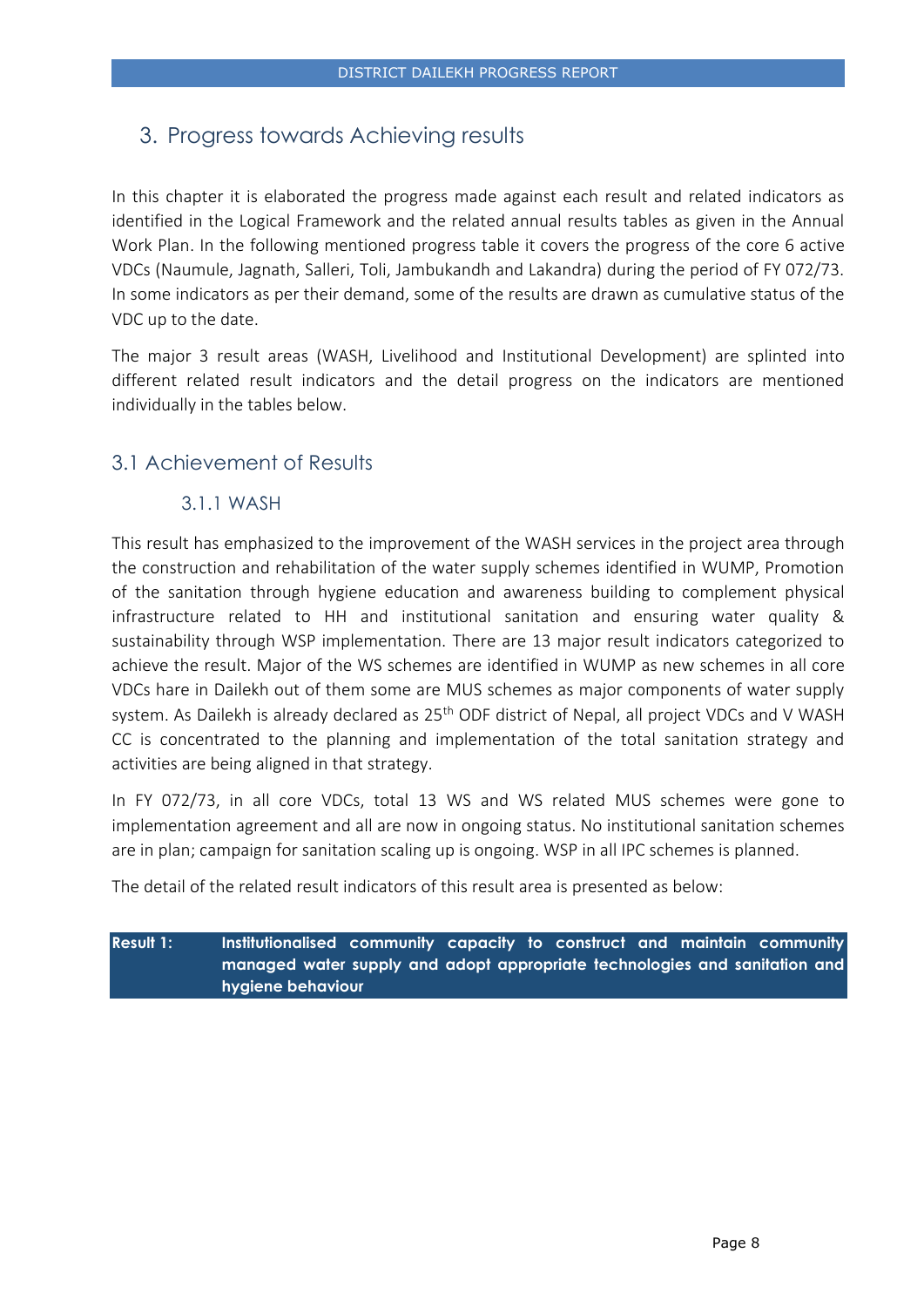# <span id="page-7-0"></span>3. Progress towards Achieving results

In this chapter it is elaborated the progress made against each result and related indicators as identified in the Logical Framework and the related annual results tables as given in the Annual Work Plan. In the following mentioned progress table it covers the progress of the core 6 active VDCs (Naumule, Jagnath, Salleri, Toli, Jambukandh and Lakandra) during the period of FY 072/73. In some indicators as per their demand, some of the results are drawn as cumulative status of the VDC up to the date.

The major 3 result areas (WASH, Livelihood and Institutional Development) are splinted into different related result indicators and the detail progress on the indicators are mentioned individually in the tables below.

# <span id="page-7-2"></span><span id="page-7-1"></span>3.1 Achievement of Results

## 3.1.1 WASH

This result has emphasized to the improvement of the WASH services in the project area through the construction and rehabilitation of the water supply schemes identified in WUMP, Promotion of the sanitation through hygiene education and awareness building to complement physical infrastructure related to HH and institutional sanitation and ensuring water quality & sustainability through WSP implementation. There are 13 major result indicators categorized to achieve the result. Major of the WS schemes are identified in WUMP as new schemes in all core VDCs hare in Dailekh out of them some are MUS schemes as major components of water supply system. As Dailekh is already declared as 25<sup>th</sup> ODF district of Nepal, all project VDCs and V WASH CC is concentrated to the planning and implementation of the total sanitation strategy and activities are being aligned in that strategy.

In FY 072/73, in all core VDCs, total 13 WS and WS related MUS schemes were gone to implementation agreement and all are now in ongoing status. No institutional sanitation schemes are in plan; campaign for sanitation scaling up is ongoing. WSP in all IPC schemes is planned.

The detail of the related result indicators of this result area is presented as below:

**Result 1: Institutionalised community capacity to construct and maintain community managed water supply and adopt appropriate technologies and sanitation and hygiene behaviour**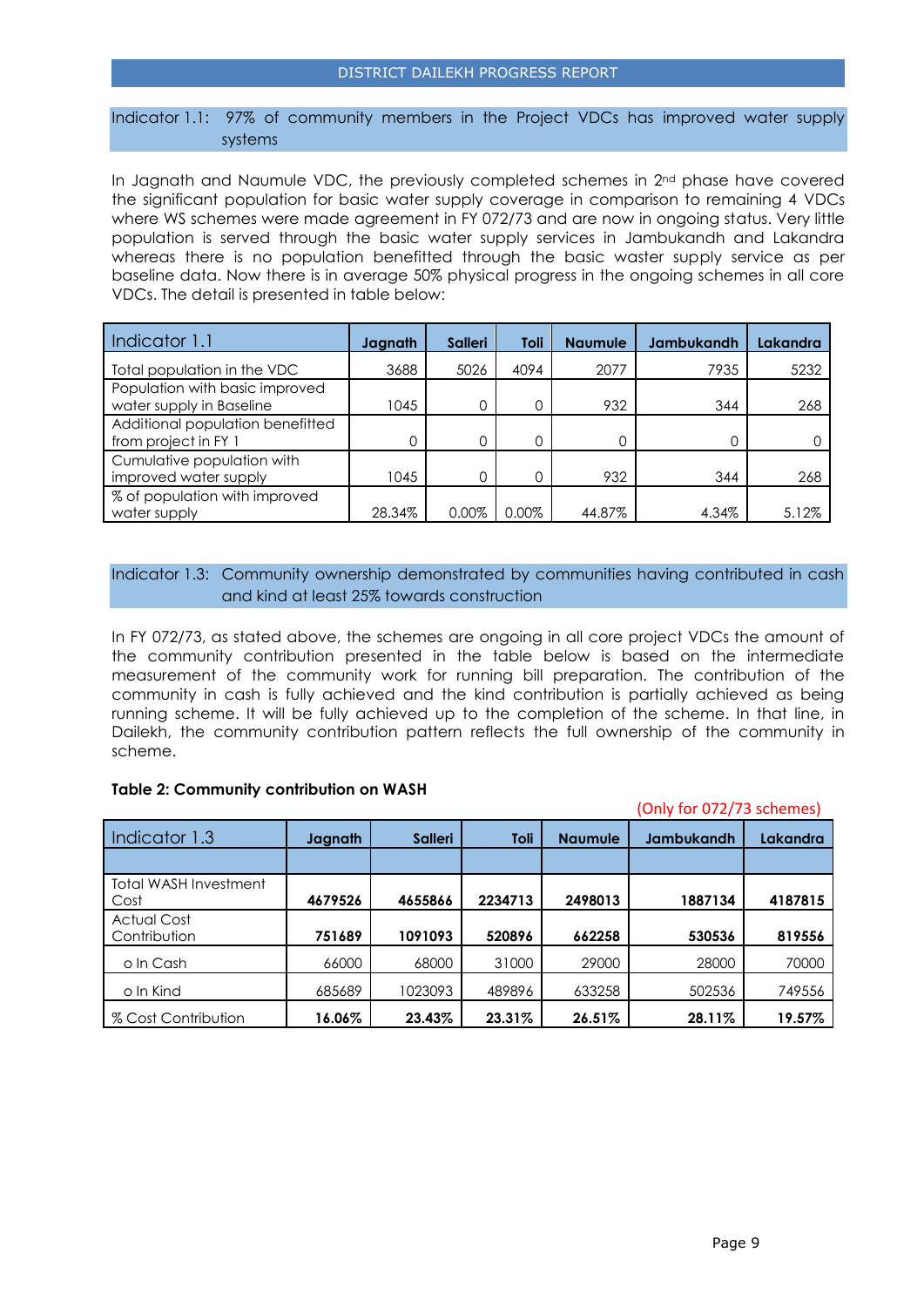Indicator 1.1: 97% of community members in the Project VDCs has improved water supply systems

In Jagnath and Naumule VDC, the previously completed schemes in 2<sup>nd</sup> phase have covered the significant population for basic water supply coverage in comparison to remaining 4 VDCs where WS schemes were made agreement in FY 072/73 and are now in ongoing status. Very little population is served through the basic water supply services in Jambukandh and Lakandra whereas there is no population benefitted through the basic waster supply service as per baseline data. Now there is in average 50% physical progress in the ongoing schemes in all core VDCs. The detail is presented in table below:

| Indicator 1.1                                              | Jagnath | <b>Salleri</b> | Toli  | <b>Naumule</b> | <b>Jambukandh</b> | Lakandra |
|------------------------------------------------------------|---------|----------------|-------|----------------|-------------------|----------|
| Total population in the VDC                                | 3688    | 5026           | 4094  | 2077           | 7935              | 5232     |
| Population with basic improved<br>water supply in Baseline | 1045    |                | 0     | 932            | 344               | 268      |
| Additional population benefitted<br>from project in FY 1   |         | O              | 0     |                |                   |          |
| Cumulative population with<br>improved water supply        | 1045    |                | 0     | 932            | 344               | 268      |
| % of population with improved<br>water supply              | 28.34%  | $0.00\%$       | 0.00% | 44.87%         | 4.34%             | 5.12%    |

Indicator 1.3: Community ownership demonstrated by communities having contributed in cash and kind at least 25% towards construction

In FY 072/73, as stated above, the schemes are ongoing in all core project VDCs the amount of the community contribution presented in the table below is based on the intermediate measurement of the community work for running bill preparation. The contribution of the community in cash is fully achieved and the kind contribution is partially achieved as being running scheme. It will be fully achieved up to the completion of the scheme. In that line, in Dailekh, the community contribution pattern reflects the full ownership of the community in scheme.

#### **Table 2: Community contribution on WASH**

(Only for 072/73 schemes)

| Indicator 1.3                      | Jagnath | <b>Salleri</b> | Toli    | <b>Naumule</b> | <b>Jambukandh</b> | Lakandra |
|------------------------------------|---------|----------------|---------|----------------|-------------------|----------|
|                                    |         |                |         |                |                   |          |
| Total WASH Investment<br>Cost      | 4679526 | 4655866        | 2234713 | 2498013        | 1887134           | 4187815  |
| <b>Actual Cost</b><br>Contribution | 751689  | 1091093        | 520896  | 662258         | 530536            | 819556   |
| o In Cash                          | 66000   | 68000          | 31000   | 29000          | 28000             | 70000    |
| o In Kind                          | 685689  | 1023093        | 489896  | 633258         | 502536            | 749556   |
| % Cost Contribution                | 16.06%  | 23.43%         | 23.31%  | 26.51%         | 28.11%            | 19.57%   |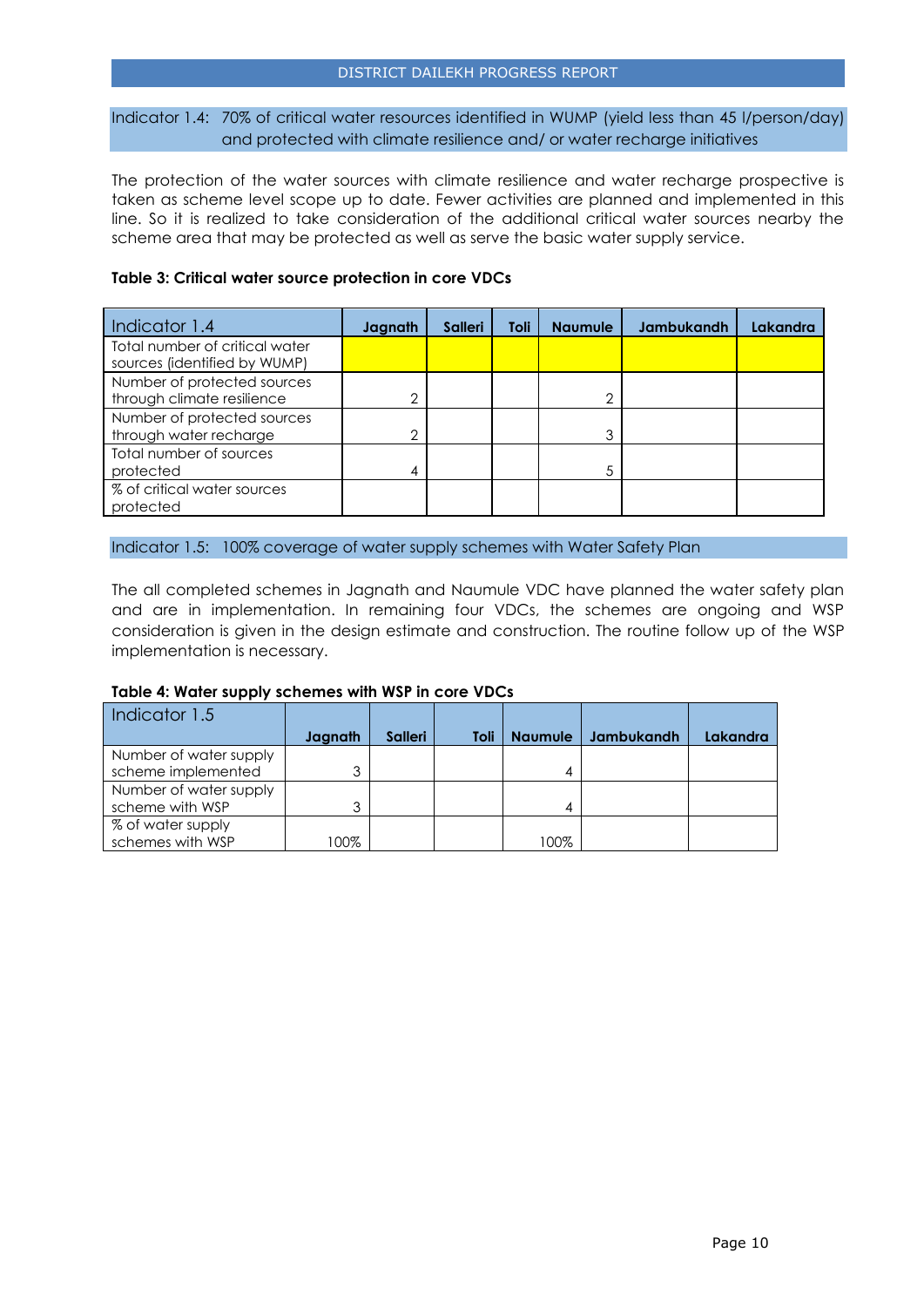Indicator 1.4: 70% of critical water resources identified in WUMP (yield less than 45 l/person/day) and protected with climate resilience and/ or water recharge initiatives

The protection of the water sources with climate resilience and water recharge prospective is taken as scheme level scope up to date. Fewer activities are planned and implemented in this line. So it is realized to take consideration of the additional critical water sources nearby the scheme area that may be protected as well as serve the basic water supply service.

#### **Table 3: Critical water source protection in core VDCs**

| Indicator 1.4                                                  | Jagnath | <b>Salleri</b> | Toli | <b>Naumule</b> | <b>Jambukandh</b> | Lakandra |
|----------------------------------------------------------------|---------|----------------|------|----------------|-------------------|----------|
| Total number of critical water<br>sources (identified by WUMP) |         |                |      |                |                   |          |
| Number of protected sources<br>through climate resilience      | ◠       |                |      | ◠              |                   |          |
| Number of protected sources<br>through water recharge          | 2       |                |      | 3              |                   |          |
| Total number of sources<br>protected                           | 4       |                |      | 5              |                   |          |
| % of critical water sources<br>protected                       |         |                |      |                |                   |          |

Indicator 1.5: 100% coverage of water supply schemes with Water Safety Plan

The all completed schemes in Jagnath and Naumule VDC have planned the water safety plan and are in implementation. In remaining four VDCs, the schemes are ongoing and WSP consideration is given in the design estimate and construction. The routine follow up of the WSP implementation is necessary.

#### **Table 4: Water supply schemes with WSP in core VDCs**

| Indicator 1.5          |         |                |      |                |            |                 |
|------------------------|---------|----------------|------|----------------|------------|-----------------|
|                        | Jagnath | <b>Salleri</b> | Toli | <b>Naumule</b> | Jambukandh | <b>Lakandra</b> |
| Number of water supply |         |                |      |                |            |                 |
| scheme implemented     | 3       |                |      |                |            |                 |
| Number of water supply |         |                |      |                |            |                 |
| scheme with WSP        | 3       |                |      |                |            |                 |
| % of water supply      |         |                |      |                |            |                 |
| schemes with WSP       | 00%     |                |      | 100%           |            |                 |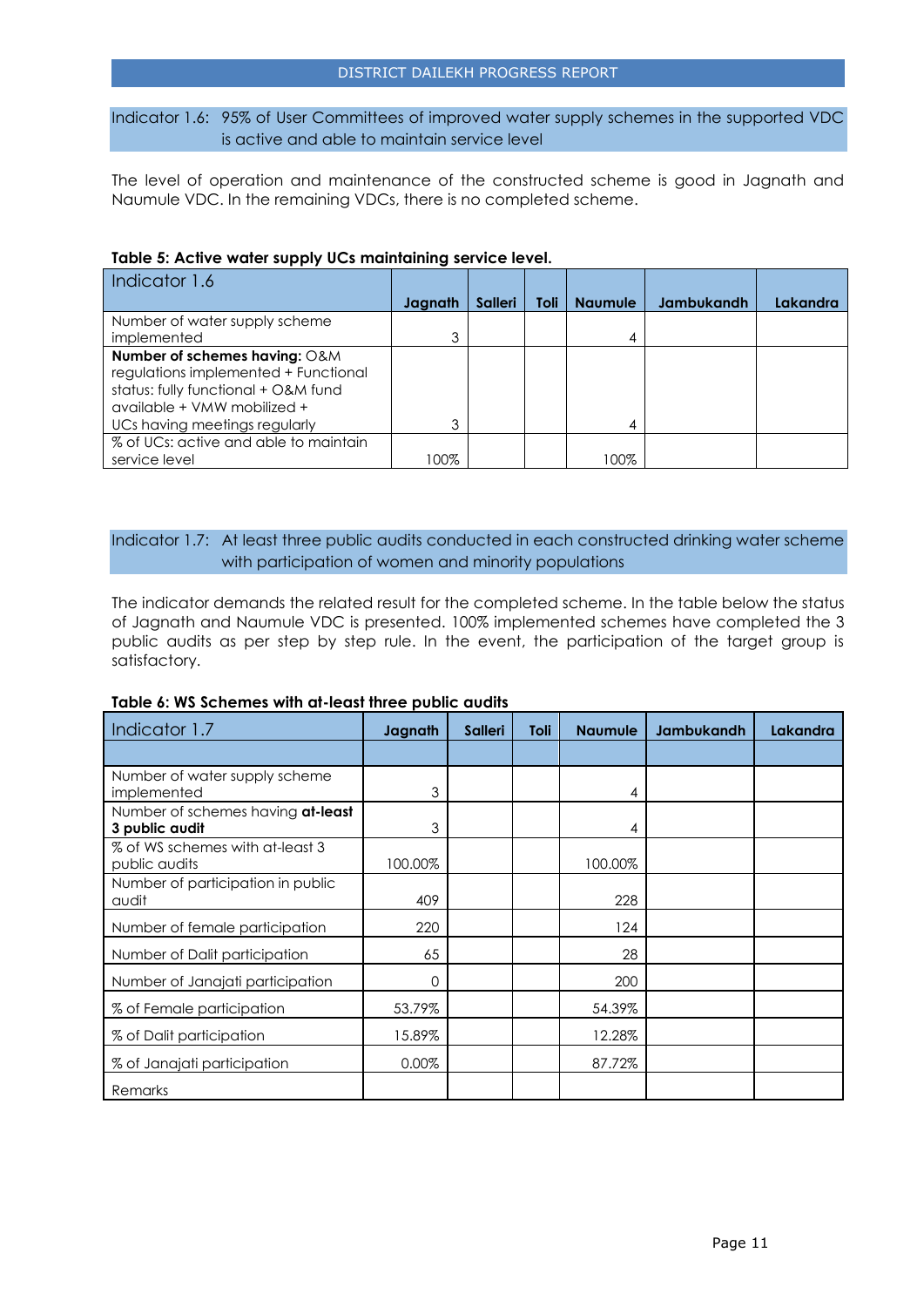Indicator 1.6: 95% of User Committees of improved water supply schemes in the supported VDC is active and able to maintain service level

The level of operation and maintenance of the constructed scheme is good in Jagnath and Naumule VDC. In the remaining VDCs, there is no completed scheme.

| Indicator 1.6                         |         |                |      |                |                   |          |
|---------------------------------------|---------|----------------|------|----------------|-------------------|----------|
|                                       | Jagnath | <b>Salleri</b> | Toli | <b>Naumule</b> | <b>Jambukandh</b> | Lakandra |
| Number of water supply scheme         |         |                |      |                |                   |          |
| implemented                           | 3       |                |      | 4              |                   |          |
| Number of schemes having: O&M         |         |                |      |                |                   |          |
| regulations implemented + Functional  |         |                |      |                |                   |          |
| status: fully functional + O&M fund   |         |                |      |                |                   |          |
| available + VMW mobilized +           |         |                |      |                |                   |          |
| UCs having meetings regularly         | っ       |                |      | 4              |                   |          |
| % of UCs: active and able to maintain |         |                |      |                |                   |          |
| service level                         | 100%    |                |      | 100%           |                   |          |

#### **Table 5: Active water supply UCs maintaining service level.**

#### Indicator 1.7: At least three public audits conducted in each constructed drinking water scheme with participation of women and minority populations

The indicator demands the related result for the completed scheme. In the table below the status of Jagnath and Naumule VDC is presented. 100% implemented schemes have completed the 3 public audits as per step by step rule. In the event, the participation of the target group is satisfactory.

| Table 6: WS Schemes with at-least three public audits |  |
|-------------------------------------------------------|--|
|-------------------------------------------------------|--|

| Indicator 1.7                                       | Jagnath | <b>Salleri</b> | Toli | <b>Naumule</b> | Jambukandh | Lakandra |
|-----------------------------------------------------|---------|----------------|------|----------------|------------|----------|
|                                                     |         |                |      |                |            |          |
| Number of water supply scheme<br>implemented        | 3       |                |      | 4              |            |          |
| Number of schemes having at-least<br>3 public audit | 3       |                |      | 4              |            |          |
| % of WS schemes with at-least 3<br>public audits    | 100.00% |                |      | 100.00%        |            |          |
| Number of participation in public<br>audit          | 409     |                |      | 228            |            |          |
| Number of female participation                      | 220     |                |      | 124            |            |          |
| Number of Dalit participation                       | 65      |                |      | 28             |            |          |
| Number of Janajati participation                    | 0       |                |      | 200            |            |          |
| % of Female participation                           | 53.79%  |                |      | 54.39%         |            |          |
| % of Dalit participation                            | 15.89%  |                |      | 12.28%         |            |          |
| % of Janajati participation                         | 0.00%   |                |      | 87.72%         |            |          |
| Remarks                                             |         |                |      |                |            |          |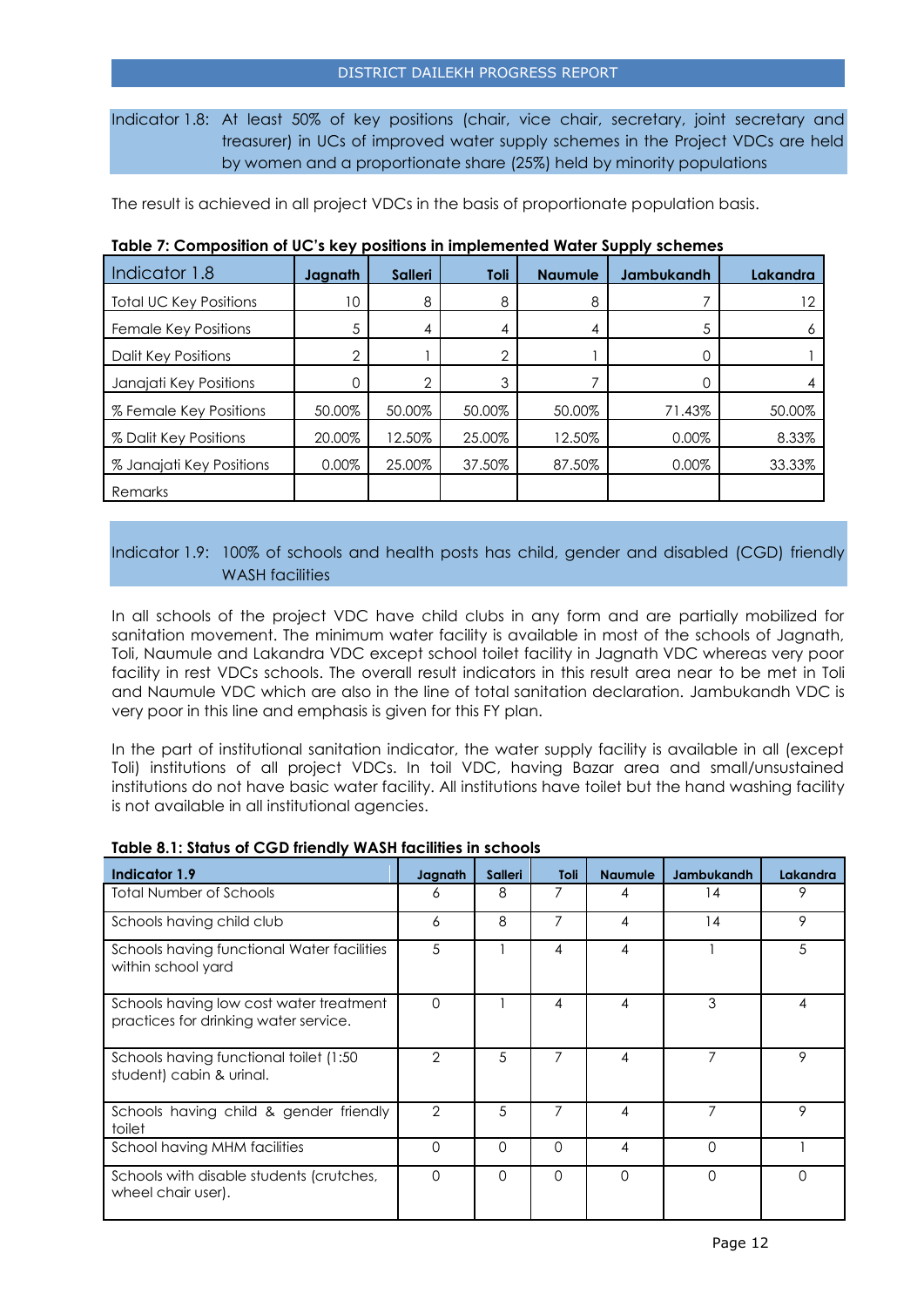Indicator 1.8: At least 50% of key positions (chair, vice chair, secretary, joint secretary and treasurer) in UCs of improved water supply schemes in the Project VDCs are held by women and a proportionate share (25%) held by minority populations

The result is achieved in all project VDCs in the basis of proportionate population basis.

| Indicator 1.8                 | Jagnath        | <b>Salleri</b> | Toli   | <b>Naumule</b> | Jambukandh | Lakandra |
|-------------------------------|----------------|----------------|--------|----------------|------------|----------|
| <b>Total UC Key Positions</b> | 10             | 8              | 8      | 8              |            | 12       |
| Female Key Positions          | 5              | 4              | 4      | 4              | 5          |          |
| Dalit Key Positions           | $\overline{2}$ |                | ◠      |                |            |          |
| Janajati Key Positions        | 0              | ⌒              | 3      |                |            |          |
| % Female Key Positions        | 50.00%         | 50.00%         | 50.00% | 50.00%         | 71.43%     | 50.00%   |
| % Dalit Key Positions         | 20.00%         | 12.50%         | 25.00% | 12.50%         | 0.00%      | 8.33%    |
| % Janajati Key Positions      | 0.00%          | 25.00%         | 37.50% | 87.50%         | 0.00%      | 33.33%   |
| Remarks                       |                |                |        |                |            |          |

#### **Table 7: Composition of UC's key positions in implemented Water Supply schemes**

Indicator 1.9: 100% of schools and health posts has child, gender and disabled (CGD) friendly WASH facilities

In all schools of the project VDC have child clubs in any form and are partially mobilized for sanitation movement. The minimum water facility is available in most of the schools of Jagnath, Toli, Naumule and Lakandra VDC except school toilet facility in Jagnath VDC whereas very poor facility in rest VDCs schools. The overall result indicators in this result area near to be met in Toli and Naumule VDC which are also in the line of total sanitation declaration. Jambukandh VDC is very poor in this line and emphasis is given for this FY plan.

In the part of institutional sanitation indicator, the water supply facility is available in all (except Toli) institutions of all project VDCs. In toil VDC, having Bazar area and small/unsustained institutions do not have basic water facility. All institutions have toilet but the hand washing facility is not available in all institutional agencies.

| Indicator 1.9                                                                    | Jagnath        | <b>Salleri</b> | Toli     | <b>Naumule</b> | <b>Jambukandh</b> | Lakandra |
|----------------------------------------------------------------------------------|----------------|----------------|----------|----------------|-------------------|----------|
| Total Number of Schools                                                          | 6              | 8              |          | 4              | 14                | 9        |
| Schools having child club                                                        | 6              | 8              | 7        | 4              | 14                | 9        |
| Schools having functional Water facilities<br>within school yard                 | 5              |                | 4        | $\overline{4}$ |                   | 5        |
| Schools having low cost water treatment<br>practices for drinking water service. | $\Omega$       |                | 4        | 4              | 3                 | 4        |
| Schools having functional toilet (1:50)<br>student) cabin & urinal.              | $\overline{2}$ | 5              | 7        | $\overline{4}$ |                   | 9        |
| Schools having child & gender friendly<br>toilet                                 | $\overline{2}$ | 5              | 7        | 4              | 7                 | 9        |
| School having MHM facilities                                                     | $\Omega$       | $\Omega$       | $\Omega$ | 4              | $\Omega$          |          |
| Schools with disable students (crutches,<br>wheel chair user).                   | $\Omega$       | $\Omega$       | $\Omega$ | $\Omega$       | $\Omega$          | $\Omega$ |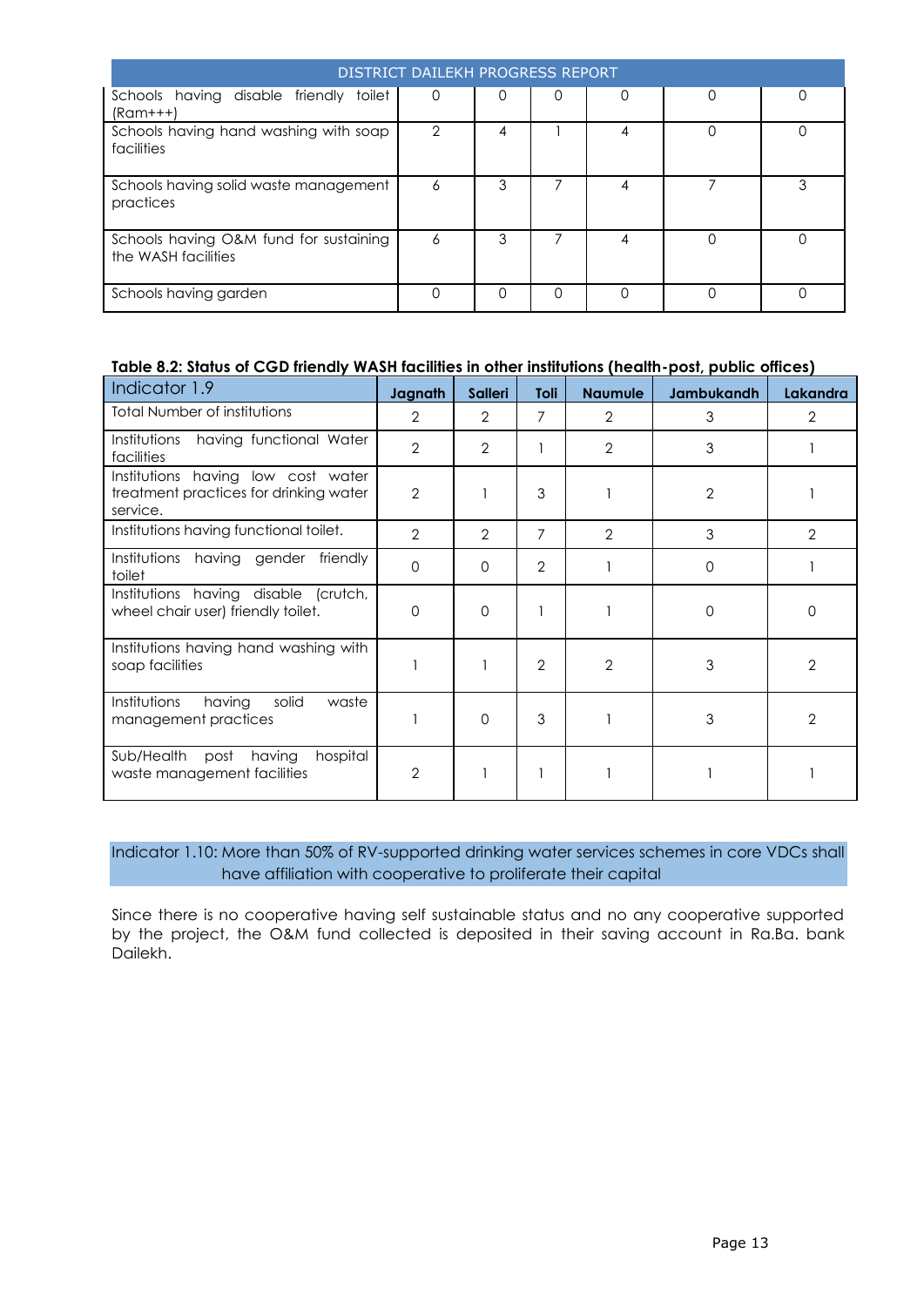|                                                               | <b>DISTRICT DAILEKH PROGRESS REPORT</b> |   |   |   |   |
|---------------------------------------------------------------|-----------------------------------------|---|---|---|---|
| Schools having disable friendly toilet<br>$(Ram++)$           | 0                                       | 0 | O | 0 | 0 |
| Schools having hand washing with soap<br>facilities           | 2                                       | 4 |   | 4 |   |
| Schools having solid waste management<br>practices            | 6                                       | 3 |   | 4 |   |
| Schools having O&M fund for sustaining<br>the WASH facilities | 6                                       | 3 |   | 4 |   |
| Schools having garden                                         |                                         | 0 | ∩ | Ω |   |

### **Table 8.2: Status of CGD friendly WASH facilities in other institutions (health-post, public offices)**

| Indicator 1.9                                                                            | Jagnath        | <b>Salleri</b> | Toli           | <b>Naumule</b> | Jambukandh     | <b>Lakandra</b> |
|------------------------------------------------------------------------------------------|----------------|----------------|----------------|----------------|----------------|-----------------|
| <b>Total Number of institutions</b>                                                      | $\overline{2}$ | $\overline{2}$ | 7              | $\overline{2}$ | 3              | 2               |
| having functional Water<br>Institutions<br>facilities                                    | $\overline{2}$ | $\overline{2}$ |                | $\overline{2}$ | 3              |                 |
| Institutions having low cost water<br>treatment practices for drinking water<br>service. | $\overline{2}$ |                | 3              |                | $\overline{2}$ |                 |
| Institutions having functional toilet.                                                   | $\overline{2}$ | $\overline{2}$ | 7              | $\overline{2}$ | 3              | $\overline{2}$  |
| Institutions<br>having gender<br>friendly<br>toilet                                      | $\Omega$       | $\Omega$       | $\overline{2}$ |                | $\Omega$       |                 |
| Institutions having disable (crutch,<br>wheel chair user) friendly toilet.               | $\Omega$       | $\Omega$       |                |                | $\Omega$       | 0               |
| Institutions having hand washing with<br>soap facilities                                 |                |                | $\overline{2}$ | $\overline{2}$ | 3              | $\overline{2}$  |
| Institutions<br>having<br>solid<br>waste<br>management practices                         |                | $\Omega$       | 3              |                | 3              | $\overline{2}$  |
| Sub/Health<br>having<br>hospital<br>post<br>waste management facilities                  | $\overline{2}$ |                |                |                |                |                 |

Indicator 1.10: More than 50% of RV-supported drinking water services schemes in core VDCs shall have affiliation with cooperative to proliferate their capital

Since there is no cooperative having self sustainable status and no any cooperative supported by the project, the O&M fund collected is deposited in their saving account in Ra.Ba. bank Dailekh.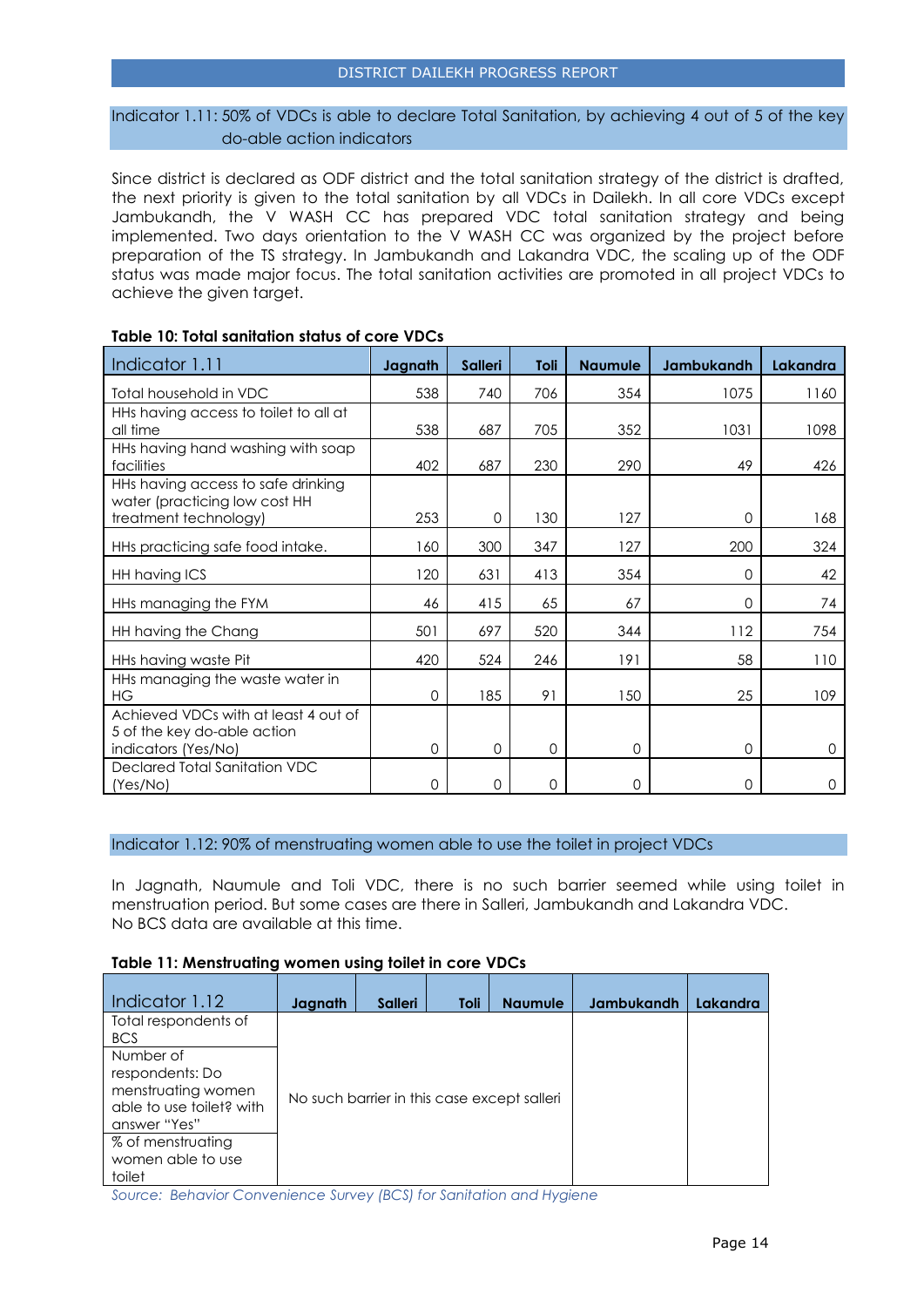#### Indicator 1.11: 50% of VDCs is able to declare Total Sanitation, by achieving 4 out of 5 of the key do-able action indicators

Since district is declared as ODF district and the total sanitation strategy of the district is drafted, the next priority is given to the total sanitation by all VDCs in Dailekh. In all core VDCs except Jambukandh, the V WASH CC has prepared VDC total sanitation strategy and being implemented. Two days orientation to the V WASH CC was organized by the project before preparation of the TS strategy. In Jambukandh and Lakandra VDC, the scaling up of the ODF status was made major focus. The total sanitation activities are promoted in all project VDCs to achieve the given target.

| Indicator 1.11                                                      | Jagnath  | <b>Salleri</b> | Toli     | <b>Naumule</b> | Jambukandh | Lakandra |
|---------------------------------------------------------------------|----------|----------------|----------|----------------|------------|----------|
| Total household in VDC                                              | 538      | 740            | 706      | 354            | 1075       | 1160     |
| HHs having access to toilet to all at<br>all time                   | 538      | 687            | 705      | 352            | 1031       | 1098     |
| HHs having hand washing with soap<br>facilities                     | 402      | 687            | 230      | 290            | 49         | 426      |
| HHs having access to safe drinking<br>water (practicing low cost HH |          |                |          |                |            |          |
| treatment technology)                                               | 253      | $\Omega$       | 130      | 127            | 0          | 168      |
| HHs practicing safe food intake.                                    | 160      | 300            | 347      | 127            | 200        | 324      |
| HH having ICS                                                       | 120      | 631            | 413      | 354            | 0          | 42       |
| HHs managing the FYM                                                | 46       | 415            | 65       | 67             | 0          | 74       |
| HH having the Chang                                                 | 501      | 697            | 520      | 344            | 112        | 754      |
| HHs having waste Pit                                                | 420      | 524            | 246      | 191            | 58         | 110      |
| HHs managing the waste water in<br>НG                               | $\Omega$ | 185            | 91       | 150            | 25         | 109      |
| Achieved VDCs with at least 4 out of                                |          |                |          |                |            |          |
| 5 of the key do-able action<br>indicators (Yes/No)                  | $\Omega$ | $\Omega$       | $\Omega$ | $\Omega$       | 0          | $\Omega$ |
| Declared Total Sanitation VDC<br>(Yes/No)                           | 0        | $\Omega$       | $\Omega$ | $\Omega$       | 0          | 0        |

#### **Table 10: Total sanitation status of core VDCs**

#### Indicator 1.12: 90% of menstruating women able to use the toilet in project VDCs

In Jagnath, Naumule and Toli VDC, there is no such barrier seemed while using toilet in menstruation period. But some cases are there in Salleri, Jambukandh and Lakandra VDC. No BCS data are available at this time.

#### **Table 11: Menstruating women using toilet in core VDCs**

| Indicator 1.12                                                                                 | Jagnath | <b>Salleri</b> | Toli | <b>Naumule</b>                              | <b>Jambukandh</b> | Lakandra |
|------------------------------------------------------------------------------------------------|---------|----------------|------|---------------------------------------------|-------------------|----------|
| Total respondents of<br><b>BCS</b>                                                             |         |                |      |                                             |                   |          |
| Number of<br>respondents: Do<br>menstruating women<br>able to use toilet? with<br>answer "Yes" |         |                |      | No such barrier in this case except salleri |                   |          |
| % of menstruating<br>women able to use<br>toilet                                               |         |                |      |                                             |                   |          |

*Source: Behavior Convenience Survey (BCS) for Sanitation and Hygiene*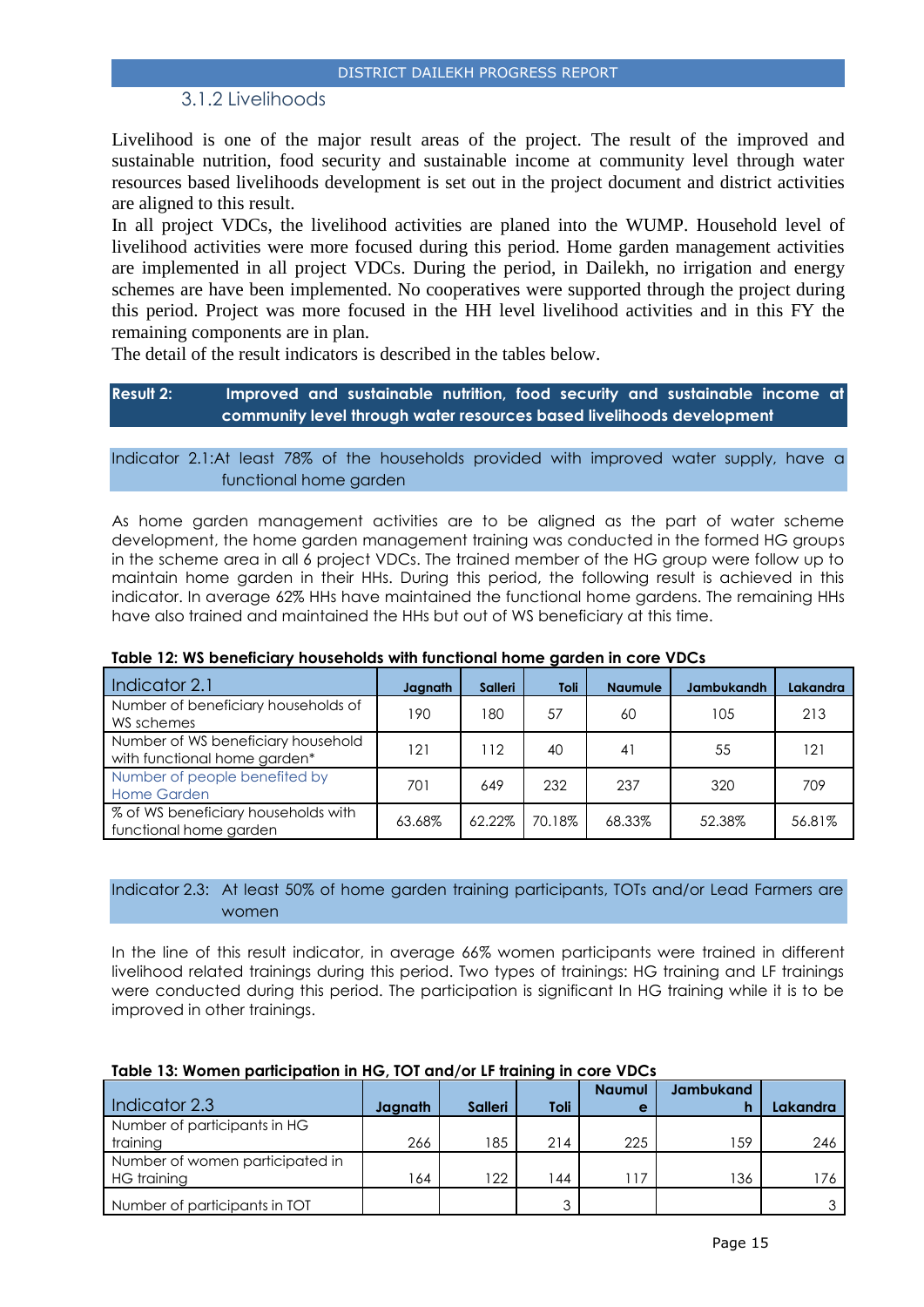## 3.1.2 Livelihoods

<span id="page-14-0"></span>Livelihood is one of the major result areas of the project. The result of the improved and sustainable nutrition, food security and sustainable income at community level through water resources based livelihoods development is set out in the project document and district activities are aligned to this result.

In all project VDCs, the livelihood activities are planed into the WUMP. Household level of livelihood activities were more focused during this period. Home garden management activities are implemented in all project VDCs. During the period, in Dailekh, no irrigation and energy schemes are have been implemented. No cooperatives were supported through the project during this period. Project was more focused in the HH level livelihood activities and in this FY the remaining components are in plan.

The detail of the result indicators is described in the tables below.

### **Result 2: Improved and sustainable nutrition, food security and sustainable income at community level through water resources based livelihoods development**

#### Indicator 2.1:At least 78% of the households provided with improved water supply, have a functional home garden

As home garden management activities are to be aligned as the part of water scheme development, the home garden management training was conducted in the formed HG groups in the scheme area in all 6 project VDCs. The trained member of the HG group were follow up to maintain home garden in their HHs. During this period, the following result is achieved in this indicator. In average 62% HHs have maintained the functional home gardens. The remaining HHs have also trained and maintained the HHs but out of WS beneficiary at this time.

| Indicator 2.1                                                      | Jagnath | <b>Salleri</b> | Toli   | <b>Naumule</b> | <b>Jambukandh</b> | Lakandra |
|--------------------------------------------------------------------|---------|----------------|--------|----------------|-------------------|----------|
| Number of beneficiary households of<br>WS schemes                  | 190.    | 180            | 57     | 60             | 105               | 213      |
| Number of WS beneficiary household<br>with functional home garden* | 121     | 112            | 40     | 41             | 55                | 121      |
| Number of people benefited by<br><b>Home Garden</b>                | 701     | 649            | 232    | 237            | 320               | 709      |
| % of WS beneficiary households with<br>functional home garden      | 63.68%  | 62.22%         | 70.18% | 68.33%         | 52.38%            | 56.81%   |

#### **Table 12: WS beneficiary households with functional home garden in core VDCs**

#### Indicator 2.3: At least 50% of home garden training participants, TOTs and/or Lead Farmers are women

In the line of this result indicator, in average 66% women participants were trained in different livelihood related trainings during this period. Two types of trainings: HG training and LF trainings were conducted during this period. The participation is significant In HG training while it is to be improved in other trainings.

|                                 |         |                |      | <b>Naumul</b> | <b>Jambukand</b> |          |
|---------------------------------|---------|----------------|------|---------------|------------------|----------|
|                                 |         |                |      |               |                  |          |
| Indicator 2.3                   | Jagnath | <b>Salleri</b> | Toli | e             |                  | Lakandra |
| Number of participants in HG    |         |                |      |               |                  |          |
| training                        | 266     | 185            | 214  | 225           | 159              | 246      |
| Number of women participated in |         |                |      |               |                  |          |
| HG training                     | 64      | 122            | 44   | 117           | 136              | 176      |
| Number of participants in TOT   |         |                | ◠    |               |                  |          |

#### **Table 13: Women participation in HG, TOT and/or LF training in core VDCs**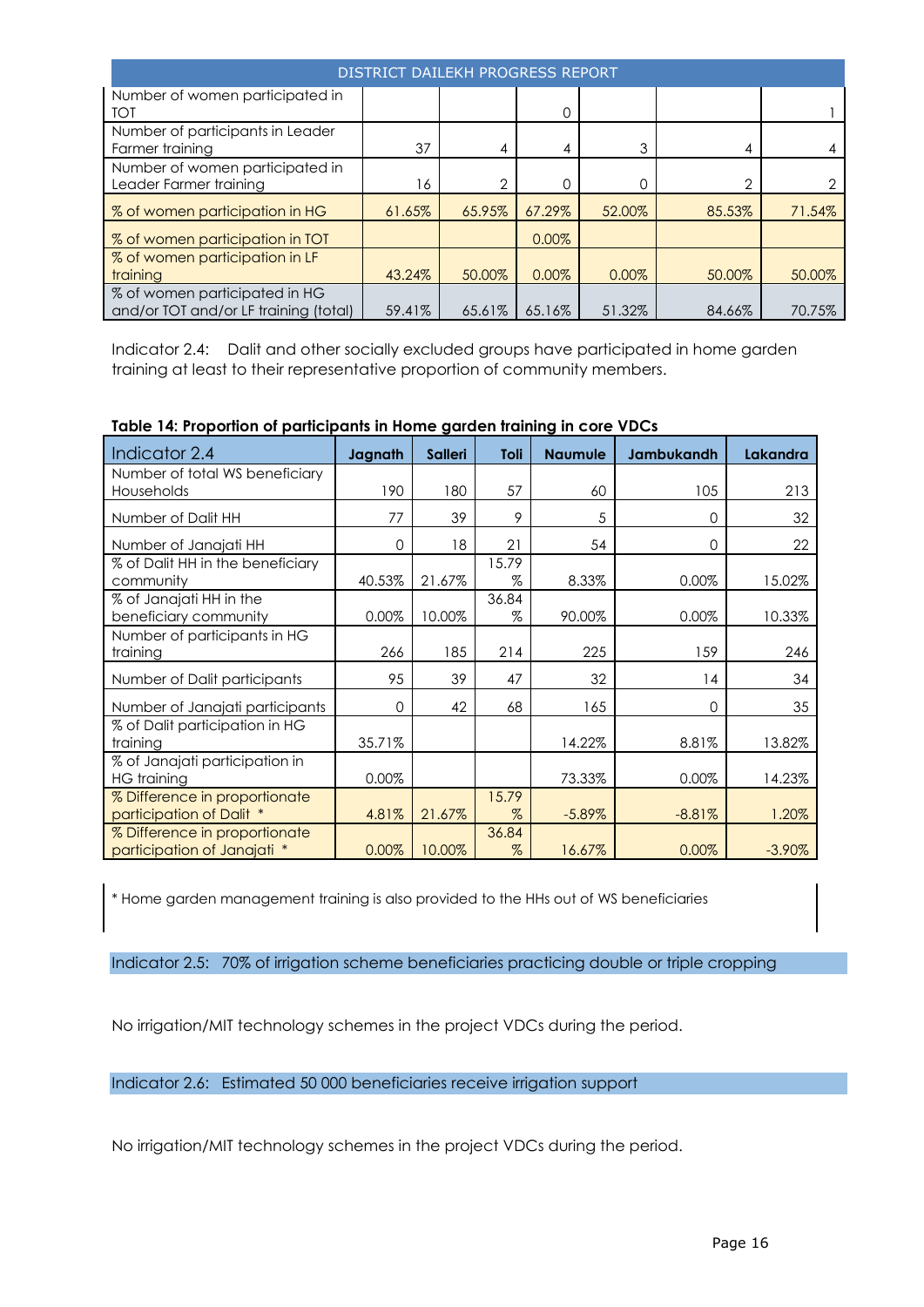| DISTRICT DAILEKH PROGRESS REPORT                                       |        |                |        |        |        |        |  |
|------------------------------------------------------------------------|--------|----------------|--------|--------|--------|--------|--|
| Number of women participated in<br><b>TOT</b>                          |        |                | 0      |        |        |        |  |
| Number of participants in Leader<br>Farmer training                    | 37     | 4              | 4      | 3      | 4      |        |  |
| Number of women participated in<br>Leader Farmer training              | 16     | $\overline{2}$ |        |        | ↷      | 2      |  |
| % of women participation in HG                                         | 61.65% | 65.95%         | 67.29% | 52.00% | 85.53% | 71.54% |  |
| % of women participation in TOT                                        |        |                | 0.00%  |        |        |        |  |
| % of women participation in LF<br>training                             | 43.24% | 50.00%         | 0.00%  | 0.00%  | 50.00% | 50.00% |  |
| % of women participated in HG<br>and/or TOT and/or LF training (total) | 59.41% | 65.61%         | 65.16% | 51.32% | 84.66% | 70.75% |  |

Indicator 2.4: Dalit and other socially excluded groups have participated in home garden training at least to their representative proportion of community members.

| Indicator 2.4                                                | Jagnath  | <b>Salleri</b> | Toli          | <b>Naumule</b> | Jambukandh | Lakandra  |
|--------------------------------------------------------------|----------|----------------|---------------|----------------|------------|-----------|
| Number of total WS beneficiary<br>Households                 | 190      | 180            | 57            | 60             | 105        | 213       |
| Number of Dalit HH                                           | 77       | 39             | 9             | 5              | 0          | 32        |
| Number of Janajati HH                                        | $\Omega$ | 18             | 21            | 54             | 0          | 22        |
| % of Dalit HH in the beneficiary<br>community                | 40.53%   | 21.67%         | 15.79<br>$\%$ | 8.33%          | 0.00%      | 15.02%    |
| % of Janajati HH in the<br>beneficiary community             | 0.00%    | 10.00%         | 36.84<br>$\%$ | 90.00%         | 0.00%      | 10.33%    |
| Number of participants in HG<br>training                     | 266      | 185            | 214           | 225            | 159        | 246       |
| Number of Dalit participants                                 | 95       | 39             | 47            | 32             | 14         | 34        |
| Number of Janajati participants                              | 0        | 42             | 68            | 165            | 0          | 35        |
| % of Dalit participation in HG<br>training                   | 35.71%   |                |               | 14.22%         | 8.81%      | 13.82%    |
| % of Janajati participation in<br><b>HG</b> training         | 0.00%    |                |               | 73.33%         | 0.00%      | 14.23%    |
| % Difference in proportionate<br>participation of Dalit *    | 4.81%    | 21.67%         | 15.79<br>$\%$ | $-5.89%$       | $-8.81%$   | 1.20%     |
| % Difference in proportionate<br>participation of Janajati * | 0.00%    | 10.00%         | 36.84<br>%    | 16.67%         | 0.00%      | $-3.90\%$ |

**Table 14: Proportion of participants in Home garden training in core VDCs**

\* Home garden management training is also provided to the HHs out of WS beneficiaries

Indicator 2.5: 70% of irrigation scheme beneficiaries practicing double or triple cropping

No irrigation/MIT technology schemes in the project VDCs during the period.

Indicator 2.6: Estimated 50 000 beneficiaries receive irrigation support

No irrigation/MIT technology schemes in the project VDCs during the period.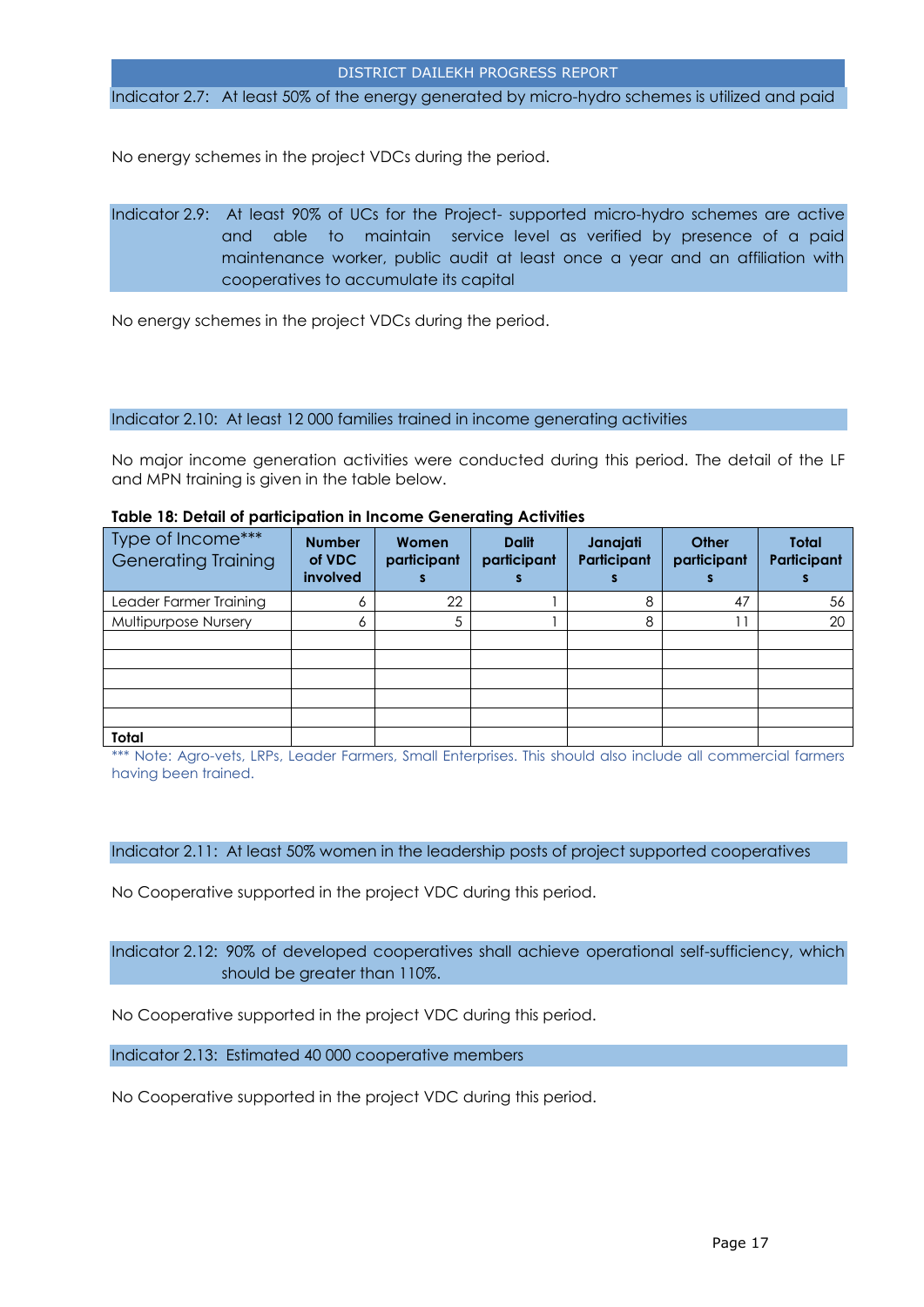Indicator 2.7: At least 50% of the energy generated by micro-hydro schemes is utilized and paid

No energy schemes in the project VDCs during the period.

Indicator 2.9: At least 90% of UCs for the Project- supported micro-hydro schemes are active and able to maintain service level as verified by presence of a paid maintenance worker, public audit at least once a year and an affiliation with cooperatives to accumulate its capital

No energy schemes in the project VDCs during the period.

#### Indicator 2.10: At least 12 000 families trained in income generating activities

No major income generation activities were conducted during this period. The detail of the LF and MPN training is given in the table below.

| Type of Income***<br><b>Generating Training</b> | <b>Number</b><br>of VDC<br>involved | Women<br>participant | <b>Dalit</b><br>participant | Janajati<br>Participant | Other<br>participant | <b>Total</b><br>Participant |
|-------------------------------------------------|-------------------------------------|----------------------|-----------------------------|-------------------------|----------------------|-----------------------------|
| Leader Farmer Training                          |                                     | 22                   |                             | 8                       | 47                   | 56                          |
| Multipurpose Nursery                            |                                     |                      |                             | 8                       |                      | 20                          |
|                                                 |                                     |                      |                             |                         |                      |                             |
|                                                 |                                     |                      |                             |                         |                      |                             |
|                                                 |                                     |                      |                             |                         |                      |                             |
|                                                 |                                     |                      |                             |                         |                      |                             |
|                                                 |                                     |                      |                             |                         |                      |                             |
| Total                                           |                                     |                      |                             |                         |                      |                             |

#### **Table 18: Detail of participation in Income Generating Activities**

\*\*\* Note: Agro-vets, LRPs, Leader Farmers, Small Enterprises. This should also include all commercial farmers having been trained.

Indicator 2.11: At least 50% women in the leadership posts of project supported cooperatives

No Cooperative supported in the project VDC during this period.

Indicator 2.12: 90% of developed cooperatives shall achieve operational self-sufficiency, which should be greater than 110%.

No Cooperative supported in the project VDC during this period.

Indicator 2.13: Estimated 40 000 cooperative members

No Cooperative supported in the project VDC during this period.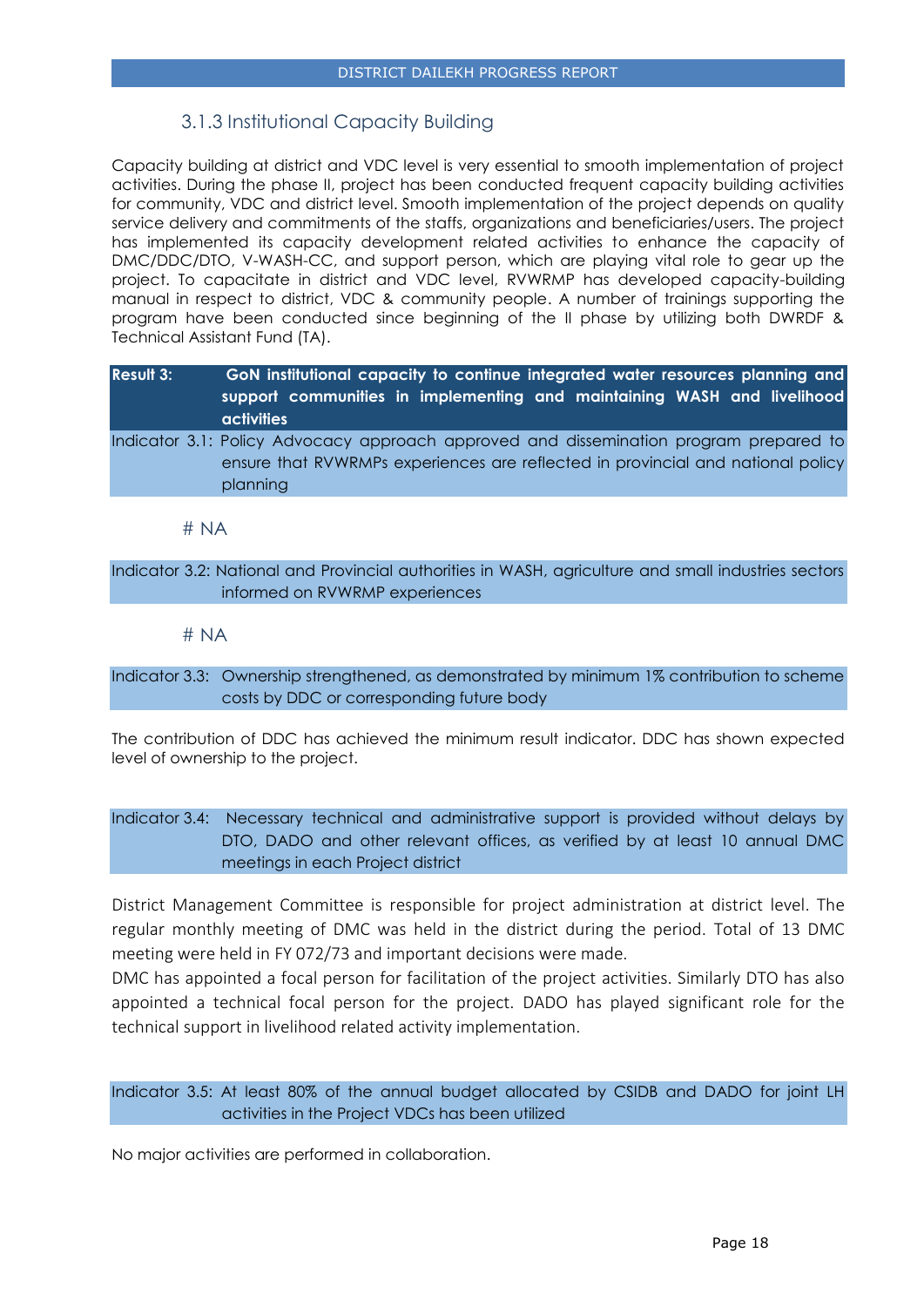## 3.1.3 Institutional Capacity Building

<span id="page-17-0"></span>Capacity building at district and VDC level is very essential to smooth implementation of project activities. During the phase II, project has been conducted frequent capacity building activities for community, VDC and district level. Smooth implementation of the project depends on quality service delivery and commitments of the staffs, organizations and beneficiaries/users. The project has implemented its capacity development related activities to enhance the capacity of DMC/DDC/DTO, V-WASH-CC, and support person, which are playing vital role to gear up the project. To capacitate in district and VDC level, RVWRMP has developed capacity-building manual in respect to district, VDC & community people. A number of trainings supporting the program have been conducted since beginning of the II phase by utilizing both DWRDF & Technical Assistant Fund (TA).

| <b>Result 3:</b> | GoN institutional capacity to continue integrated water resources planning and<br>support communities in implementing and maintaining WASH and livelihood<br><b>activities</b>        |
|------------------|---------------------------------------------------------------------------------------------------------------------------------------------------------------------------------------|
|                  | Indicator 3.1: Policy Advocacy approach approved and dissemination program prepared to<br>ensure that RVWRMPs experiences are reflected in provincial and national policy<br>planning |

# NA

Indicator 3.2: National and Provincial authorities in WASH, agriculture and small industries sectors informed on RVWRMP experiences

#### # NA

Indicator 3.3: Ownership strengthened, as demonstrated by minimum 1% contribution to scheme costs by DDC or corresponding future body

The contribution of DDC has achieved the minimum result indicator. DDC has shown expected level of ownership to the project.

Indicator 3.4: Necessary technical and administrative support is provided without delays by DTO, DADO and other relevant offices, as verified by at least 10 annual DMC meetings in each Project district

District Management Committee is responsible for project administration at district level. The regular monthly meeting of DMC was held in the district during the period. Total of 13 DMC meeting were held in FY 072/73 and important decisions were made.

DMC has appointed a focal person for facilitation of the project activities. Similarly DTO has also appointed a technical focal person for the project. DADO has played significant role for the technical support in livelihood related activity implementation.

Indicator 3.5: At least 80% of the annual budget allocated by CSIDB and DADO for joint LH activities in the Project VDCs has been utilized

No major activities are performed in collaboration.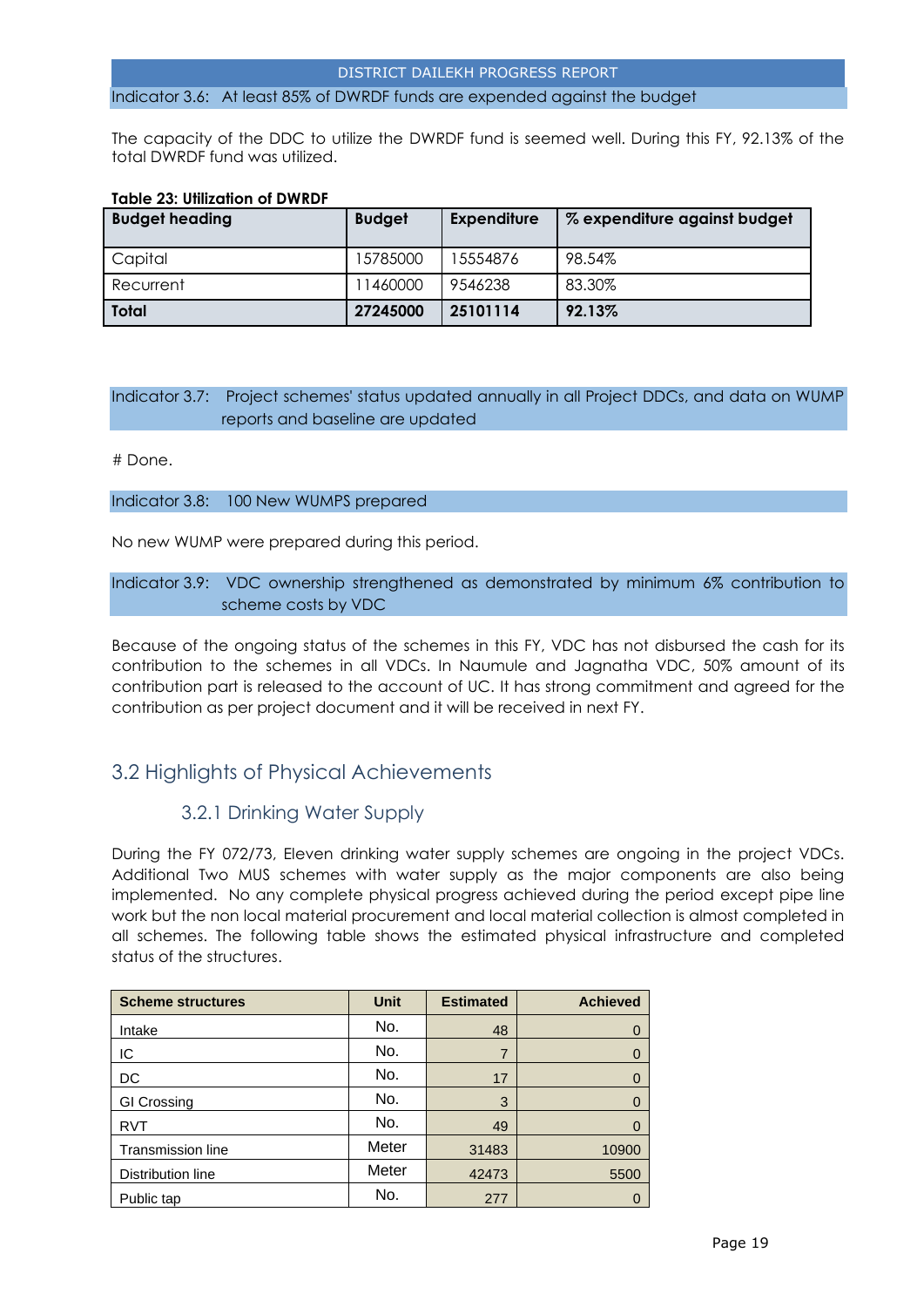#### Indicator 3.6: At least 85% of DWRDF funds are expended against the budget

The capacity of the DDC to utilize the DWRDF fund is seemed well. During this FY, 92.13% of the total DWRDF fund was utilized.

| <u>IUDIE ZJ. UIIILUIIUII UI DWNDF</u> |               |                    |                              |
|---------------------------------------|---------------|--------------------|------------------------------|
| <b>Budget heading</b>                 | <b>Budget</b> | <b>Expenditure</b> | % expenditure against budget |
| Capital                               | 15785000      | 15554876           | 98.54%                       |
| Recurrent                             | 11460000      | 9546238            | 83.30%                       |
| Total                                 | 27245000      | 25101114           | 92.13%                       |

## **Table 23: Utilization of DWRDF**

#### Indicator 3.7: Project schemes' status updated annually in all Project DDCs, and data on WUMP reports and baseline are updated

#### # Done.

#### Indicator 3.8: 100 New WUMPS prepared

No new WUMP were prepared during this period.

#### Indicator 3.9: VDC ownership strengthened as demonstrated by minimum 6% contribution to scheme costs by VDC

Because of the ongoing status of the schemes in this FY, VDC has not disbursed the cash for its contribution to the schemes in all VDCs. In Naumule and Jagnatha VDC, 50% amount of its contribution part is released to the account of UC. It has strong commitment and agreed for the contribution as per project document and it will be received in next FY.

# <span id="page-18-1"></span><span id="page-18-0"></span>3.2 Highlights of Physical Achievements

## 3.2.1 Drinking Water Supply

During the FY 072/73, Eleven drinking water supply schemes are ongoing in the project VDCs. Additional Two MUS schemes with water supply as the major components are also being implemented. No any complete physical progress achieved during the period except pipe line work but the non local material procurement and local material collection is almost completed in all schemes. The following table shows the estimated physical infrastructure and completed status of the structures.

| <b>Scheme structures</b> | <b>Unit</b> | <b>Estimated</b> | <b>Achieved</b> |
|--------------------------|-------------|------------------|-----------------|
| Intake                   | No.         | 48               |                 |
| IC                       | No.         | 7                |                 |
| DC                       | No.         | 17               |                 |
| <b>GI Crossing</b>       | No.         | 3                |                 |
| <b>RVT</b>               | No.         | 49               |                 |
| <b>Transmission line</b> | Meter       | 31483            | 10900           |
| Distribution line        | Meter       | 42473            | 5500            |
| Public tap               | No.         | 277              |                 |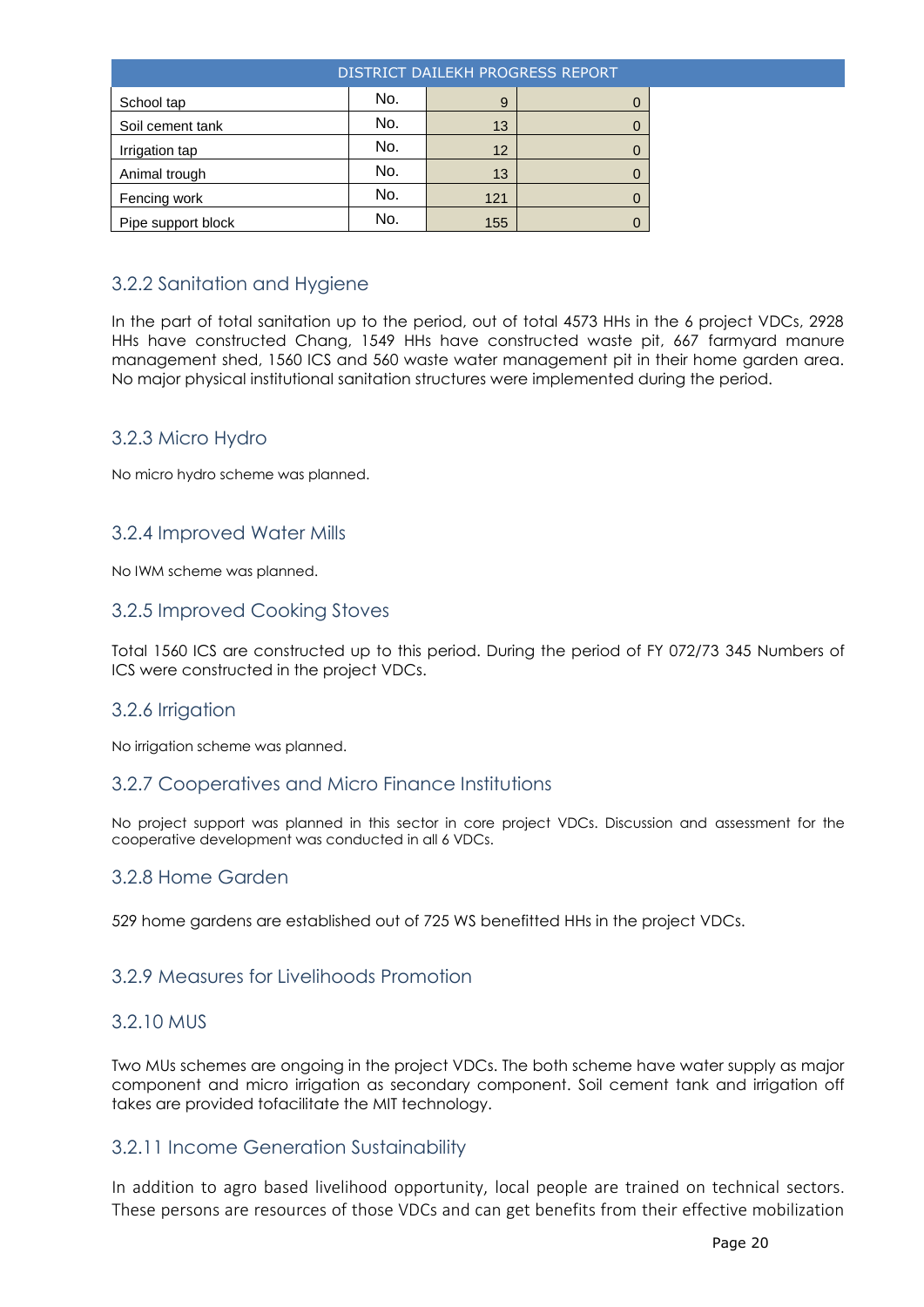|                    | DISTRICT DAILEKH PROGRESS REPORT |     |  |  |  |
|--------------------|----------------------------------|-----|--|--|--|
| School tap         | No.                              | 9   |  |  |  |
| Soil cement tank   | No.                              | 13  |  |  |  |
| Irrigation tap     | No.                              | 12  |  |  |  |
| Animal trough      | No.                              | 13  |  |  |  |
| Fencing work       | No.                              | 121 |  |  |  |
| Pipe support block | No.                              | 155 |  |  |  |

# <span id="page-19-0"></span>3.2.2 Sanitation and Hygiene

In the part of total sanitation up to the period, out of total 4573 HHs in the 6 project VDCs, 2928 HHs have constructed Chang, 1549 HHs have constructed waste pit, 667 farmyard manure management shed, 1560 ICS and 560 waste water management pit in their home garden area. No major physical institutional sanitation structures were implemented during the period.

## <span id="page-19-1"></span>3.2.3 Micro Hydro

No micro hydro scheme was planned.

## <span id="page-19-2"></span>3.2.4 Improved Water Mills

No IWM scheme was planned.

## <span id="page-19-3"></span>3.2.5 Improved Cooking Stoves

Total 1560 ICS are constructed up to this period. During the period of FY 072/73 345 Numbers of ICS were constructed in the project VDCs.

#### <span id="page-19-4"></span>3.2.6 Irrigation

No irrigation scheme was planned.

#### <span id="page-19-5"></span>3.2.7 Cooperatives and Micro Finance Institutions

No project support was planned in this sector in core project VDCs. Discussion and assessment for the cooperative development was conducted in all 6 VDCs.

## <span id="page-19-6"></span>3.2.8 Home Garden

<span id="page-19-7"></span>529 home gardens are established out of 725 WS benefitted HHs in the project VDCs.

#### <span id="page-19-8"></span>3.2.9 Measures for Livelihoods Promotion

### <span id="page-19-9"></span>3.2.10 MUS

Two MUs schemes are ongoing in the project VDCs. The both scheme have water supply as major component and micro irrigation as secondary component. Soil cement tank and irrigation off takes are provided tofacilitate the MIT technology.

#### 3.2.11 Income Generation Sustainability

In addition to agro based livelihood opportunity, local people are trained on technical sectors. These persons are resources of those VDCs and can get benefits from their effective mobilization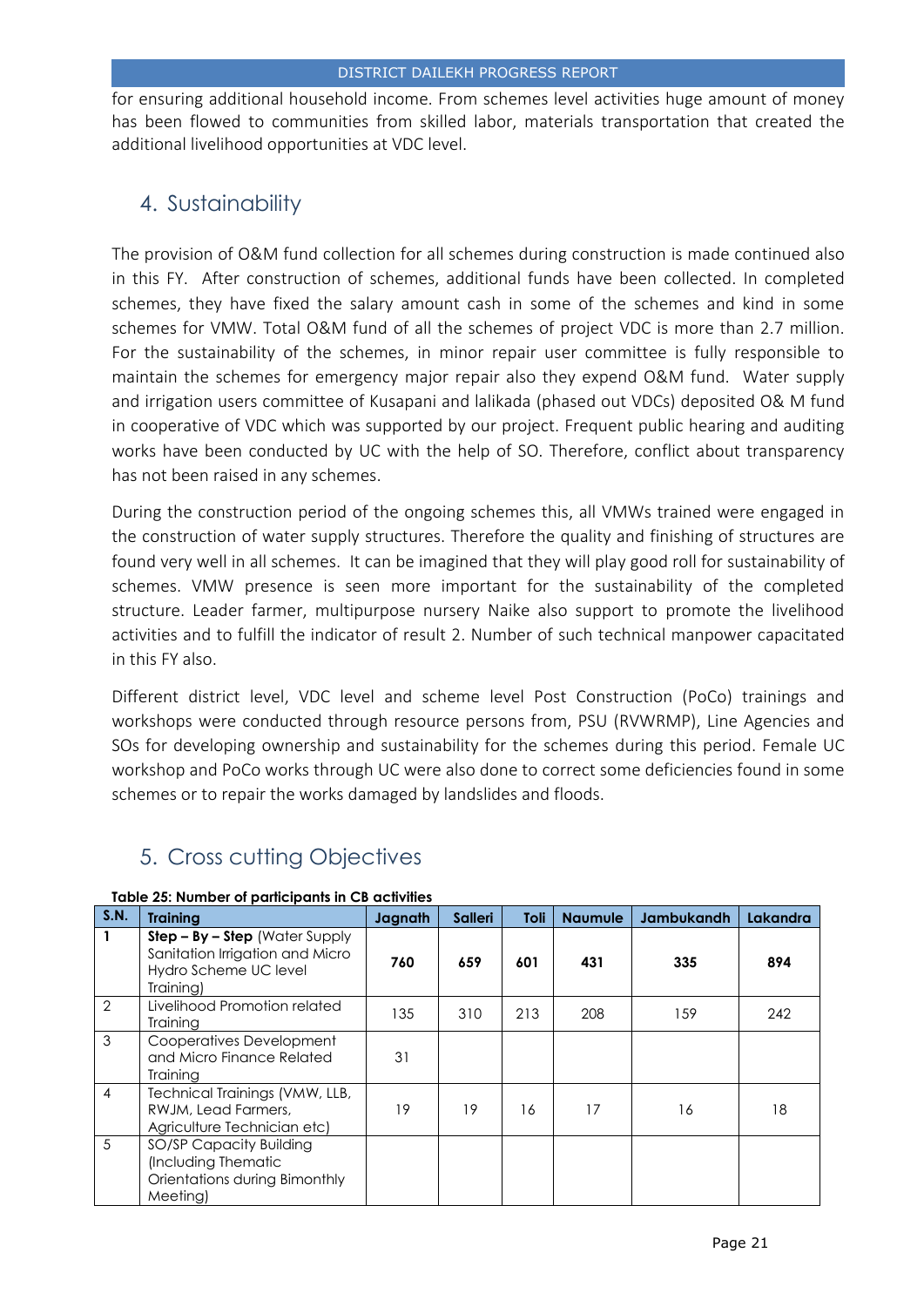for ensuring additional household income. From schemes level activities huge amount of money has been flowed to communities from skilled labor, materials transportation that created the additional livelihood opportunities at VDC level.

# <span id="page-20-0"></span>4. Sustainability

The provision of O&M fund collection for all schemes during construction is made continued also in this FY. After construction of schemes, additional funds have been collected. In completed schemes, they have fixed the salary amount cash in some of the schemes and kind in some schemes for VMW. Total O&M fund of all the schemes of project VDC is more than 2.7 million. For the sustainability of the schemes, in minor repair user committee is fully responsible to maintain the schemes for emergency major repair also they expend O&M fund. Water supply and irrigation users committee of Kusapani and lalikada (phased out VDCs) deposited O& M fund in cooperative of VDC which was supported by our project. Frequent public hearing and auditing works have been conducted by UC with the help of SO. Therefore, conflict about transparency has not been raised in any schemes.

During the construction period of the ongoing schemes this, all VMWs trained were engaged in the construction of water supply structures. Therefore the quality and finishing of structures are found very well in all schemes. It can be imagined that they will play good roll for sustainability of schemes. VMW presence is seen more important for the sustainability of the completed structure. Leader farmer, multipurpose nursery Naike also support to promote the livelihood activities and to fulfill the indicator of result 2. Number of such technical manpower capacitated in this FY also.

Different district level, VDC level and scheme level Post Construction (PoCo) trainings and workshops were conducted through resource persons from, PSU (RVWRMP), Line Agencies and SOs for developing ownership and sustainability for the schemes during this period. Female UC workshop and PoCo works through UC were also done to correct some deficiencies found in some schemes or to repair the works damaged by landslides and floods.

# <span id="page-20-1"></span>5. Cross cutting Objectives

| S.N.           | <b>Training</b>                                                                                           | Jagnath | <b>Salleri</b> | Toli | <b>Naumule</b> | <b>Jambukandh</b> | Lakandra |
|----------------|-----------------------------------------------------------------------------------------------------------|---------|----------------|------|----------------|-------------------|----------|
|                | $Step - By - Step$ (Water Supply<br>Sanitation Irrigation and Micro<br>Hydro Scheme UC level<br>Training) | 760     | 659            | 601  | 431            | 335               | 894      |
| $\overline{2}$ | Livelihood Promotion related<br>Training                                                                  | 135     | 310            | 213  | 208            | 159               | 242      |
| 3              | Cooperatives Development<br>and Micro Finance Related<br>Training                                         | 31      |                |      |                |                   |          |
| $\overline{4}$ | Technical Trainings (VMW, LLB,<br>RWJM, Lead Farmers,<br>Agriculture Technician etc)                      | 19      | 19             | 16   | 17             | 16                | 18       |
| 5              | SO/SP Capacity Building<br>(Including Thematic<br>Orientations during Bimonthly<br>Meeting)               |         |                |      |                |                   |          |

#### **Table 25: Number of participants in CB activities**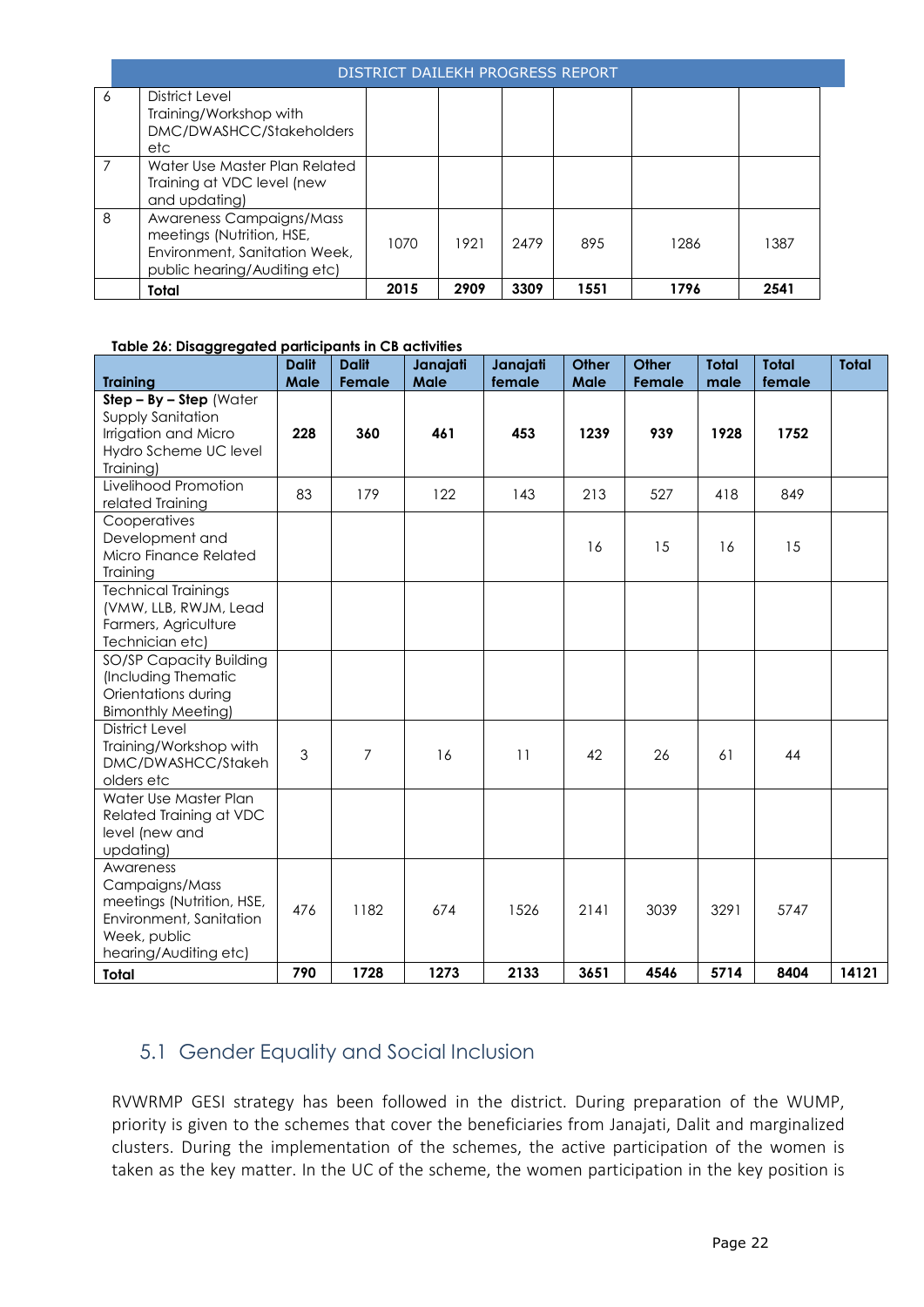|   | DISTRICT DAILEKH PROGRESS REPORT                                                                                       |      |      |      |      |      |      |
|---|------------------------------------------------------------------------------------------------------------------------|------|------|------|------|------|------|
| 6 | District Level<br>Training/Workshop with<br>DMC/DWASHCC/Stakeholders<br>etc                                            |      |      |      |      |      |      |
| 7 | Water Use Master Plan Related<br>Training at VDC level (new<br>and updating)                                           |      |      |      |      |      |      |
| 8 | Awareness Campaigns/Mass<br>meetings (Nutrition, HSE,<br>Environment, Sanitation Week,<br>public hearing/Auditing etc) | 1070 | 1921 | 2479 | 895  | 1286 | 1387 |
|   | Total                                                                                                                  | 2015 | 2909 | 3309 | 1551 | 1796 | 2541 |

#### **Table 26: Disaggregated participants in CB activities**

| <b>Training</b>                                                                                                              | <b>Dalit</b><br>Male | <b>Dalit</b><br>Female | Janajati<br>Male | Janajati<br>female | Other<br>Male | <b>Other</b><br>Female | <b>Total</b><br>male | <b>Total</b><br>female | <b>Total</b> |
|------------------------------------------------------------------------------------------------------------------------------|----------------------|------------------------|------------------|--------------------|---------------|------------------------|----------------------|------------------------|--------------|
| $Step - By - Step (Water)$<br><b>Supply Sanitation</b><br>Irrigation and Micro<br>Hydro Scheme UC level<br>Training)         | 228                  | 360                    | 461              | 453                | 1239          | 939                    | 1928                 | 1752                   |              |
| Livelihood Promotion<br>related Training                                                                                     | 83                   | 179                    | 122              | 143                | 213           | 527                    | 418                  | 849                    |              |
| Cooperatives<br>Development and<br>Micro Finance Related<br>Training                                                         |                      |                        |                  |                    | 16            | 15                     | 16                   | 15                     |              |
| <b>Technical Trainings</b><br>(VMW, LLB, RWJM, Lead<br>Farmers, Agriculture<br>Technician etc)                               |                      |                        |                  |                    |               |                        |                      |                        |              |
| SO/SP Capacity Building<br>(Including Thematic<br>Orientations during<br><b>Bimonthly Meeting)</b>                           |                      |                        |                  |                    |               |                        |                      |                        |              |
| District Level<br>Training/Workshop with<br>DMC/DWASHCC/Stakeh<br>olders etc                                                 | 3                    | 7                      | 16               | 11                 | 42            | 26                     | 61                   | 44                     |              |
| Water Use Master Plan<br>Related Training at VDC<br>level (new and<br>updating)                                              |                      |                        |                  |                    |               |                        |                      |                        |              |
| Awareness<br>Campaigns/Mass<br>meetings (Nutrition, HSE,<br>Environment, Sanitation<br>Week, public<br>hearing/Auditing etc) | 476                  | 1182                   | 674              | 1526               | 2141          | 3039                   | 3291                 | 5747                   |              |
| <b>Total</b>                                                                                                                 | 790                  | 1728                   | 1273             | 2133               | 3651          | 4546                   | 5714                 | 8404                   | 14121        |

# <span id="page-21-0"></span>5.1 Gender Equality and Social Inclusion

RVWRMP GESI strategy has been followed in the district. During preparation of the WUMP, priority is given to the schemes that cover the beneficiaries from Janajati, Dalit and marginalized clusters. During the implementation of the schemes, the active participation of the women is taken as the key matter. In the UC of the scheme, the women participation in the key position is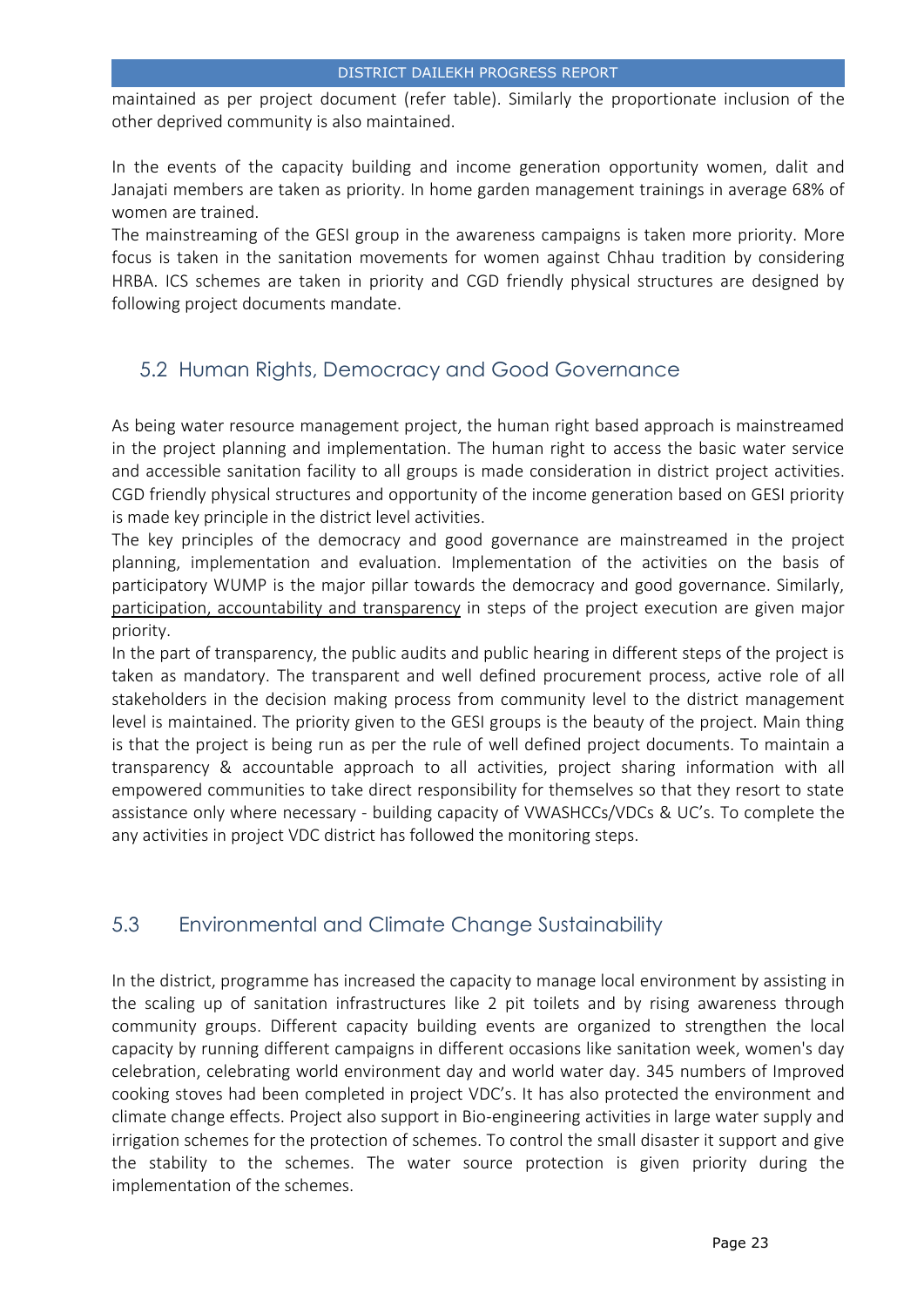maintained as per project document (refer table). Similarly the proportionate inclusion of the other deprived community is also maintained.

In the events of the capacity building and income generation opportunity women, dalit and Janajati members are taken as priority. In home garden management trainings in average 68% of women are trained.

The mainstreaming of the GESI group in the awareness campaigns is taken more priority. More focus is taken in the sanitation movements for women against Chhau tradition by considering HRBA. ICS schemes are taken in priority and CGD friendly physical structures are designed by following project documents mandate.

# <span id="page-22-0"></span>5.2 Human Rights, Democracy and Good Governance

As being water resource management project, the human right based approach is mainstreamed in the project planning and implementation. The human right to access the basic water service and accessible sanitation facility to all groups is made consideration in district project activities. CGD friendly physical structures and opportunity of the income generation based on GESI priority is made key principle in the district level activities.

The key principles of the democracy and good governance are mainstreamed in the project planning, implementation and evaluation. Implementation of the activities on the basis of participatory WUMP is the major pillar towards the democracy and good governance. Similarly, participation, accountability and transparency in steps of the project execution are given major priority.

In the part of transparency, the public audits and public hearing in different steps of the project is taken as mandatory. The transparent and well defined procurement process, active role of all stakeholders in the decision making process from community level to the district management level is maintained. The priority given to the GESI groups is the beauty of the project. Main thing is that the project is being run as per the rule of well defined project documents. To maintain a transparency & accountable approach to all activities, project sharing information with all empowered communities to take direct responsibility for themselves so that they resort to state assistance only where necessary ‐ building capacity of VWASHCCs/VDCs & UC's. To complete the any activities in project VDC district has followed the monitoring steps.

# <span id="page-22-1"></span>5.3 Environmental and Climate Change Sustainability

In the district, programme has increased the capacity to manage local environment by assisting in the scaling up of sanitation infrastructures like 2 pit toilets and by rising awareness through community groups. Different capacity building events are organized to strengthen the local capacity by running different campaigns in different occasions like sanitation week, women's day celebration, celebrating world environment day and world water day. 345 numbers of Improved cooking stoves had been completed in project VDC's. It has also protected the environment and climate change effects. Project also support in Bio-engineering activities in large water supply and irrigation schemes for the protection of schemes. To control the small disaster it support and give the stability to the schemes. The water source protection is given priority during the implementation of the schemes.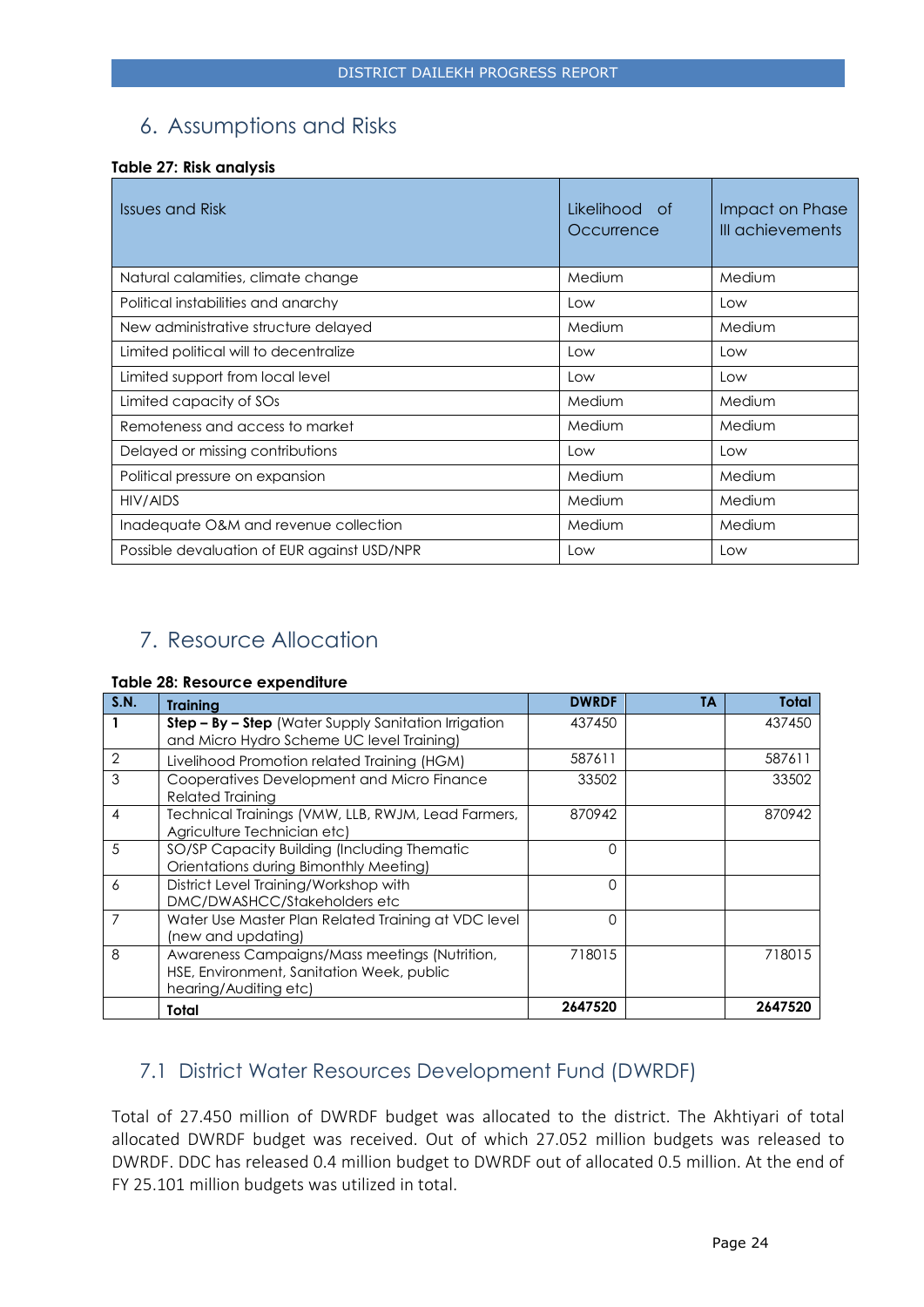# <span id="page-23-0"></span>6. Assumptions and Risks

#### **Table 27: Risk analysis**

| Issues and Risk                             | Likelihood<br>- of<br>Occurrence | Impact on Phase<br>III achievements |
|---------------------------------------------|----------------------------------|-------------------------------------|
| Natural calamities, climate change          | Medium                           | Medium                              |
| Political instabilities and anarchy         | Low                              | Low                                 |
| New administrative structure delayed        | Medium                           | Medium                              |
| Limited political will to decentralize      | Low                              | Low                                 |
| Limited support from local level            | Low                              | Low                                 |
| Limited capacity of SOs                     | Medium                           | Medium                              |
| Remoteness and access to market             | Medium                           | Medium                              |
| Delayed or missing contributions            | Low                              | Low                                 |
| Political pressure on expansion             | Medium                           | Medium                              |
| HIV/AIDS                                    | Medium                           | Medium                              |
| Inadequate O&M and revenue collection       | Medium                           | Medium                              |
| Possible devaluation of EUR against USD/NPR | Low                              | Low                                 |

# <span id="page-23-1"></span>7. Resource Allocation

#### **Table 28: Resource expenditure**

| S.N.           | <b>Training</b>                                                                                                     | <b>DWRDF</b> | <b>TA</b> | <b>Total</b> |
|----------------|---------------------------------------------------------------------------------------------------------------------|--------------|-----------|--------------|
|                | Step - By - Step (Water Supply Sanitation Irrigation<br>and Micro Hydro Scheme UC level Training)                   | 437450       |           | 437450       |
| $\overline{2}$ | Livelihood Promotion related Training (HGM)                                                                         | 587611       |           | 587611       |
| 3              | Cooperatives Development and Micro Finance<br><b>Related Training</b>                                               | 33502        |           | 33502        |
| 4              | Technical Trainings (VMW, LLB, RWJM, Lead Farmers,<br>Agriculture Technician etc)                                   | 870942       |           | 870942       |
| .5             | SO/SP Capacity Building (Including Thematic<br>Orientations during Bimonthly Meeting)                               | Ω            |           |              |
| 6              | District Level Training/Workshop with<br>DMC/DWASHCC/Stakeholders etc                                               | Ω            |           |              |
| 7              | Water Use Master Plan Related Training at VDC level<br>(new and updating)                                           | Ω            |           |              |
| 8              | Awareness Campaigns/Mass meetings (Nutrition,<br>HSE, Environment, Sanitation Week, public<br>hearing/Auditing etc) | 718015       |           | 718015       |
|                | Total                                                                                                               | 2647520      |           | 2647520      |

# <span id="page-23-2"></span>7.1 District Water Resources Development Fund (DWRDF)

Total of 27.450 million of DWRDF budget was allocated to the district. The Akhtiyari of total allocated DWRDF budget was received. Out of which 27.052 million budgets was released to DWRDF. DDC has released 0.4 million budget to DWRDF out of allocated 0.5 million. At the end of FY 25.101 million budgets was utilized in total.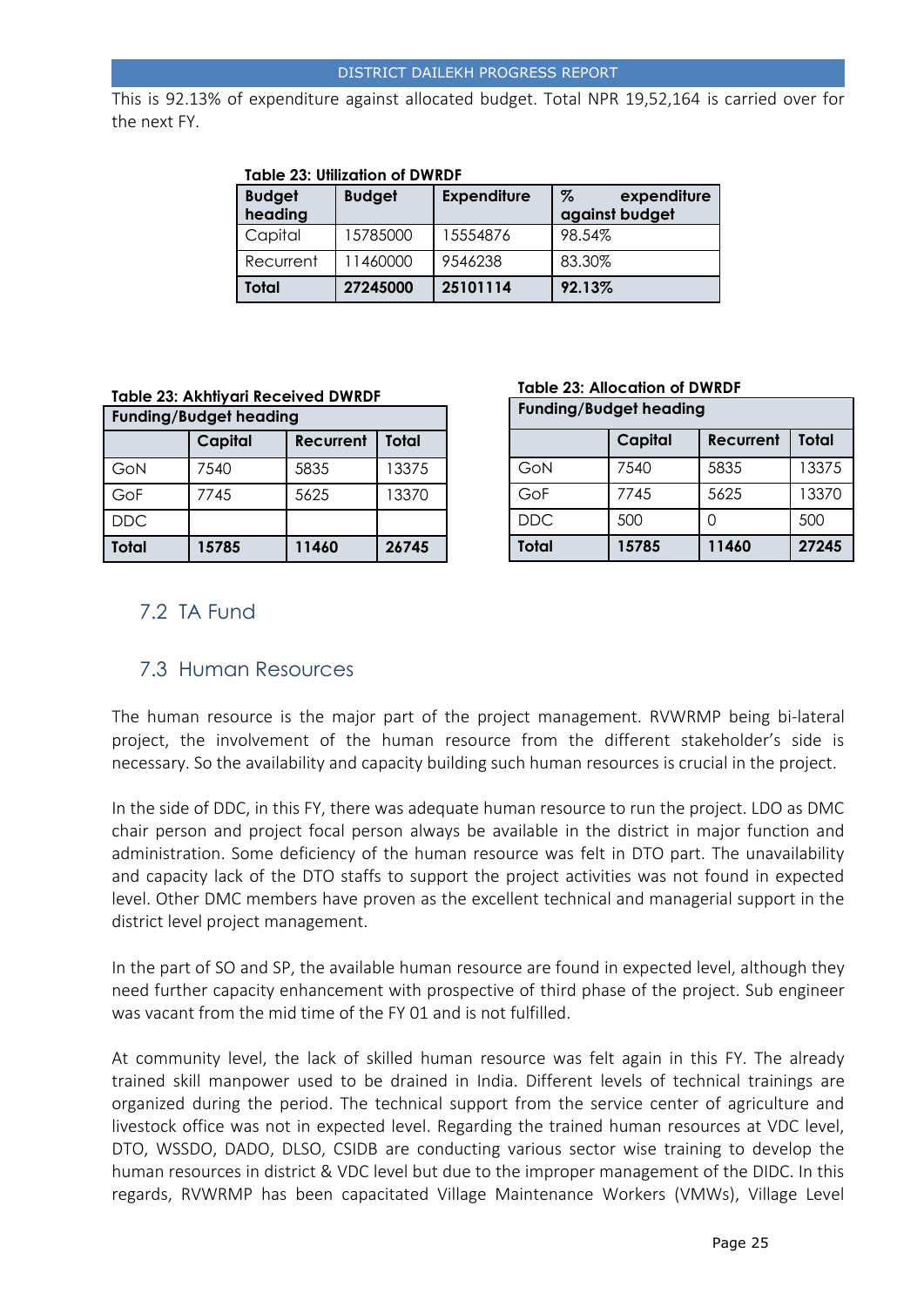This is 92.13% of expenditure against allocated budget. Total NPR 19,52,164 is carried over for the next FY.

| <b>Budget</b><br>heading | <b>Budget</b> | <b>Expenditure</b> | $\%$<br>expenditure<br>against budget |
|--------------------------|---------------|--------------------|---------------------------------------|
| Capital                  | 15785000      | 15554876           | 98.54%                                |
| Recurrent                | 11460000      | 9546238            | 83.30%                                |
| Total                    | 27245000      | 25101114           | 92.13%                                |

#### **Table 23: Utilization of DWRDF**

#### **Table 23: Akhtiyari Received DWRDF**

| <b>Funding/Budget heading</b> |         |           |       |  |
|-------------------------------|---------|-----------|-------|--|
|                               | Capital | Recurrent | Total |  |
| GoN                           | 7540    | 5835      | 13375 |  |
| GoF                           | 7745    | 5625      | 13370 |  |
| <b>DDC</b>                    |         |           |       |  |
| Total                         | 15785   | 11460     | 26745 |  |

#### **Table 23: Allocation of DWRDF**

| <b>Funding/Budget heading</b> |         |           |              |  |  |
|-------------------------------|---------|-----------|--------------|--|--|
|                               | Capital | Recurrent | <b>Total</b> |  |  |
| GoN                           | 7540    | 5835      | 13375        |  |  |
| GoF                           | 7745    | 5625      | 13370        |  |  |
| <b>DDC</b>                    | 500     | Ω         | 500          |  |  |
| <b>Total</b>                  | 15785   | 11460     | 27245        |  |  |

# <span id="page-24-0"></span>7.2 TA Fund

## <span id="page-24-1"></span>7.3 Human Resources

The human resource is the major part of the project management. RVWRMP being bi-lateral project, the involvement of the human resource from the different stakeholder's side is necessary. So the availability and capacity building such human resources is crucial in the project.

In the side of DDC, in this FY, there was adequate human resource to run the project. LDO as DMC chair person and project focal person always be available in the district in major function and administration. Some deficiency of the human resource was felt in DTO part. The unavailability and capacity lack of the DTO staffs to support the project activities was not found in expected level. Other DMC members have proven as the excellent technical and managerial support in the district level project management.

In the part of SO and SP, the available human resource are found in expected level, although they need further capacity enhancement with prospective of third phase of the project. Sub engineer was vacant from the mid time of the FY 01 and is not fulfilled.

At community level, the lack of skilled human resource was felt again in this FY. The already trained skill manpower used to be drained in India. Different levels of technical trainings are organized during the period. The technical support from the service center of agriculture and livestock office was not in expected level. Regarding the trained human resources at VDC level, DTO, WSSDO, DADO, DLSO, CSIDB are conducting various sector wise training to develop the human resources in district & VDC level but due to the improper management of the DIDC. In this regards, RVWRMP has been capacitated Village Maintenance Workers (VMWs), Village Level